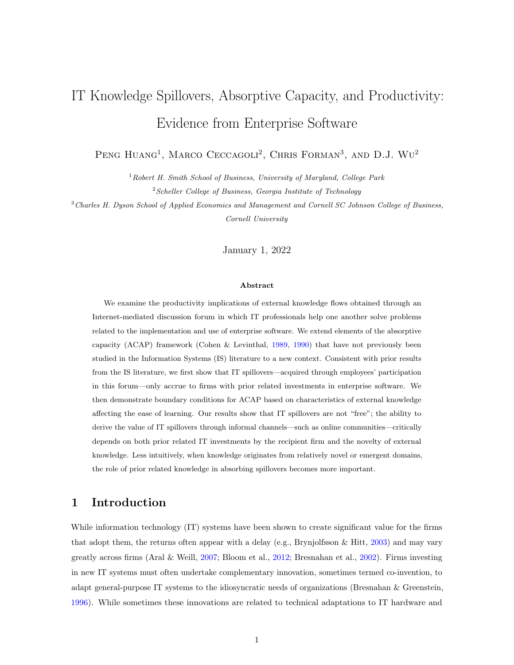# IT Knowledge Spillovers, Absorptive Capacity, and Productivity: Evidence from Enterprise Software

PENG HUANG<sup>1</sup>, MARCO CECCAGOLI<sup>2</sup>, CHRIS FORMAN<sup>3</sup>, AND D.J. WU<sup>2</sup>

 $1$ Robert H. Smith School of Business, University of Maryland, College Park  $2$  Scheller College of Business, Georgia Institute of Technology

<sup>3</sup>Charles H. Dyson School of Applied Economics and Management and Cornell SC Johnson College of Business, Cornell University

January 1, 2022

#### Abstract

We examine the productivity implications of external knowledge flows obtained through an Internet-mediated discussion forum in which IT professionals help one another solve problems related to the implementation and use of enterprise software. We extend elements of the absorptive capacity (ACAP) framework (Cohen & Levinthal, [1989,](#page-34-0) [1990\)](#page-34-1) that have not previously been studied in the Information Systems (IS) literature to a new context. Consistent with prior results from the IS literature, we first show that IT spillovers—acquired through employees' participation in this forum—only accrue to firms with prior related investments in enterprise software. We then demonstrate boundary conditions for ACAP based on characteristics of external knowledge affecting the ease of learning. Our results show that IT spillovers are not "free"; the ability to derive the value of IT spillovers through informal channels—such as online communities—critically depends on both prior related IT investments by the recipient firm and the novelty of external knowledge. Less intuitively, when knowledge originates from relatively novel or emergent domains, the role of prior related knowledge in absorbing spillovers becomes more important.

# 1 Introduction

While information technology (IT) systems have been shown to create significant value for the firms that adopt them, the returns often appear with a delay (e.g., Brynjolfsson & Hitt, [2003\)](#page-33-0) and may vary greatly across firms (Aral & Weill, [2007;](#page-32-0) Bloom et al., [2012;](#page-33-1) Bresnahan et al., [2002\)](#page-33-2). Firms investing in new IT systems must often undertake complementary innovation, sometimes termed co-invention, to adapt general-purpose IT systems to the idiosyncratic needs of organizations (Bresnahan & Greenstein, [1996\)](#page-33-3). While sometimes these innovations are related to technical adaptations to IT hardware and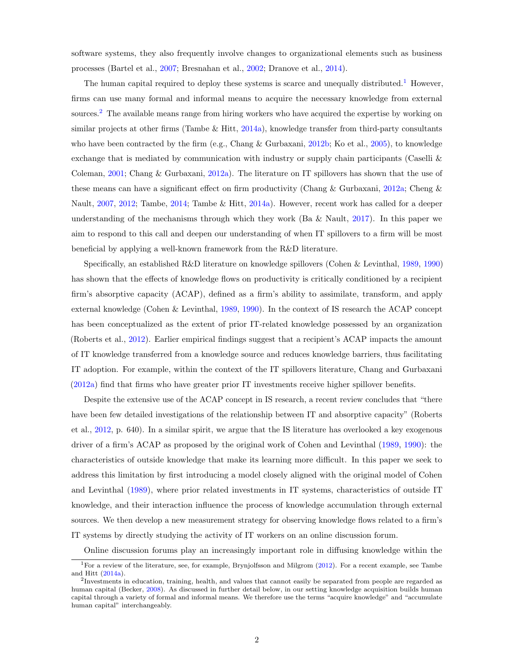software systems, they also frequently involve changes to organizational elements such as business processes (Bartel et al., [2007;](#page-33-4) Bresnahan et al., [2002;](#page-33-2) Dranove et al., [2014\)](#page-34-2).

The human capital required to deploy these systems is scarce and unequally distributed.<sup>[1](#page-1-0)</sup> However, firms can use many formal and informal means to acquire the necessary knowledge from external sources.<sup>[2](#page-1-1)</sup> The available means range from hiring workers who have acquired the expertise by working on similar projects at other firms (Tambe  $&$  Hitt, [2014a\)](#page-36-0), knowledge transfer from third-party consultants who have been contracted by the firm (e.g., Chang & Gurbaxani, [2012b;](#page-33-5) Ko et al., [2005\)](#page-35-0), to knowledge exchange that is mediated by communication with industry or supply chain participants (Caselli & Coleman, [2001;](#page-33-6) Chang & Gurbaxani, [2012a\)](#page-33-7). The literature on IT spillovers has shown that the use of these means can have a significant effect on firm productivity (Chang & Gurbaxani, [2012a;](#page-33-7) Cheng & Nault, [2007,](#page-33-8) [2012;](#page-34-3) Tambe, [2014;](#page-36-1) Tambe & Hitt, [2014a\)](#page-36-0). However, recent work has called for a deeper understanding of the mechanisms through which they work (Ba & Nault, [2017\)](#page-32-1). In this paper we aim to respond to this call and deepen our understanding of when IT spillovers to a firm will be most beneficial by applying a well-known framework from the R&D literature.

Specifically, an established R&D literature on knowledge spillovers (Cohen & Levinthal, [1989,](#page-34-0) [1990\)](#page-34-1) has shown that the effects of knowledge flows on productivity is critically conditioned by a recipient firm's absorptive capacity (ACAP), defined as a firm's ability to assimilate, transform, and apply external knowledge (Cohen & Levinthal, [1989,](#page-34-0) [1990\)](#page-34-1). In the context of IS research the ACAP concept has been conceptualized as the extent of prior IT-related knowledge possessed by an organization (Roberts et al., [2012\)](#page-36-2). Earlier empirical findings suggest that a recipient's ACAP impacts the amount of IT knowledge transferred from a knowledge source and reduces knowledge barriers, thus facilitating IT adoption. For example, within the context of the IT spillovers literature, Chang and Gurbaxani [\(2012a\)](#page-33-7) find that firms who have greater prior IT investments receive higher spillover benefits.

Despite the extensive use of the ACAP concept in IS research, a recent review concludes that "there have been few detailed investigations of the relationship between IT and absorptive capacity" (Roberts et al., [2012,](#page-36-2) p. 640). In a similar spirit, we argue that the IS literature has overlooked a key exogenous driver of a firm's ACAP as proposed by the original work of Cohen and Levinthal [\(1989,](#page-34-0) [1990\)](#page-34-1): the characteristics of outside knowledge that make its learning more difficult. In this paper we seek to address this limitation by first introducing a model closely aligned with the original model of Cohen and Levinthal [\(1989\)](#page-34-0), where prior related investments in IT systems, characteristics of outside IT knowledge, and their interaction influence the process of knowledge accumulation through external sources. We then develop a new measurement strategy for observing knowledge flows related to a firm's IT systems by directly studying the activity of IT workers on an online discussion forum.

Online discussion forums play an increasingly important role in diffusing knowledge within the

<span id="page-1-0"></span><sup>&</sup>lt;sup>1</sup>For a review of the literature, see, for example, Brynjolfsson and Milgrom  $(2012)$ . For a recent example, see Tambe and Hitt [\(2014a\)](#page-36-0).

<span id="page-1-1"></span><sup>2</sup> Investments in education, training, health, and values that cannot easily be separated from people are regarded as human capital (Becker, [2008\)](#page-33-10). As discussed in further detail below, in our setting knowledge acquisition builds human capital through a variety of formal and informal means. We therefore use the terms "acquire knowledge" and "accumulate human capital" interchangeably.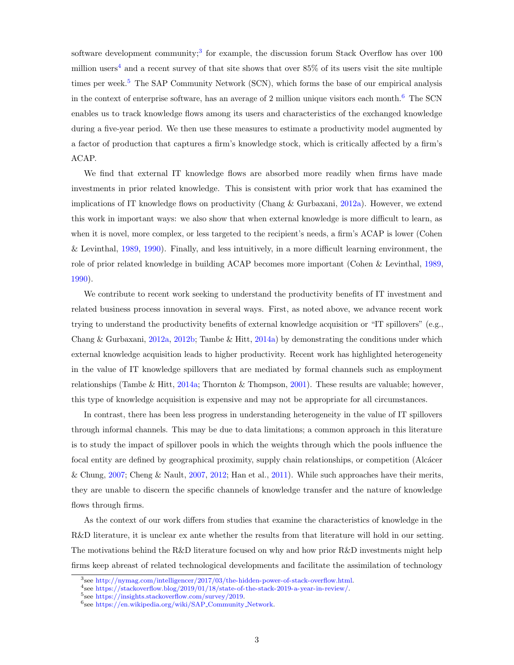software development community;<sup>[3](#page-2-0)</sup> for example, the discussion forum Stack Overflow has over  $100$ million users<sup>[4](#page-2-1)</sup> and a recent survey of that site shows that over  $85\%$  of its users visit the site multiple times per week.<sup>[5](#page-2-2)</sup> The SAP Community Network (SCN), which forms the base of our empirical analysis in the context of enterprise software, has an average of 2 million unique visitors each month.<sup>[6](#page-2-3)</sup> The SCN enables us to track knowledge flows among its users and characteristics of the exchanged knowledge during a five-year period. We then use these measures to estimate a productivity model augmented by a factor of production that captures a firm's knowledge stock, which is critically affected by a firm's ACAP.

We find that external IT knowledge flows are absorbed more readily when firms have made investments in prior related knowledge. This is consistent with prior work that has examined the implications of IT knowledge flows on productivity (Chang & Gurbaxani, [2012a\)](#page-33-7). However, we extend this work in important ways: we also show that when external knowledge is more difficult to learn, as when it is novel, more complex, or less targeted to the recipient's needs, a firm's ACAP is lower (Cohen & Levinthal, [1989,](#page-34-0) [1990\)](#page-34-1). Finally, and less intuitively, in a more difficult learning environment, the role of prior related knowledge in building ACAP becomes more important (Cohen & Levinthal, [1989,](#page-34-0) [1990\)](#page-34-1).

We contribute to recent work seeking to understand the productivity benefits of IT investment and related business process innovation in several ways. First, as noted above, we advance recent work trying to understand the productivity benefits of external knowledge acquisition or "IT spillovers" (e.g., Chang & Gurbaxani, [2012a,](#page-33-7) [2012b;](#page-33-5) Tambe & Hitt, [2014a\)](#page-36-0) by demonstrating the conditions under which external knowledge acquisition leads to higher productivity. Recent work has highlighted heterogeneity in the value of IT knowledge spillovers that are mediated by formal channels such as employment relationships (Tambe & Hitt, [2014a;](#page-36-0) Thornton & Thompson, [2001\)](#page-36-3). These results are valuable; however, this type of knowledge acquisition is expensive and may not be appropriate for all circumstances.

In contrast, there has been less progress in understanding heterogeneity in the value of IT spillovers through informal channels. This may be due to data limitations; a common approach in this literature is to study the impact of spillover pools in which the weights through which the pools influence the focal entity are defined by geographical proximity, supply chain relationships, or competition (Alcácer & Chung, [2007;](#page-32-2) Cheng & Nault, [2007,](#page-33-8) [2012;](#page-34-3) Han et al., [2011\)](#page-35-1). While such approaches have their merits, they are unable to discern the specific channels of knowledge transfer and the nature of knowledge flows through firms.

As the context of our work differs from studies that examine the characteristics of knowledge in the R&D literature, it is unclear ex ante whether the results from that literature will hold in our setting. The motivations behind the R&D literature focused on why and how prior R&D investments might help firms keep abreast of related technological developments and facilitate the assimilation of technology

<span id="page-2-0"></span><sup>3</sup> see [http://nymag.com/intelligencer/2017/03/the-hidden-power-of-stack-overflow.html.](http://nymag.com/intelligencer/2017/03/the-hidden-power-of-stack-overflow.html)

<span id="page-2-1"></span><sup>4</sup> see [https://stackoverflow.blog/2019/01/18/state-of-the-stack-2019-a-year-in-review/.](https://stackoverflow.blog/2019/01/18/state-of-the-stack-2019-a-year-in-review/)

<span id="page-2-2"></span><sup>5</sup> see [https://insights.stackoverflow.com/survey/2019.](https://insights.stackoverflow.com/survey/2019)

<span id="page-2-3"></span><sup>6</sup> see [https://en.wikipedia.org/wiki/SAP](https://en.wikipedia.org/wiki/SAP_Community_Network) Community Network.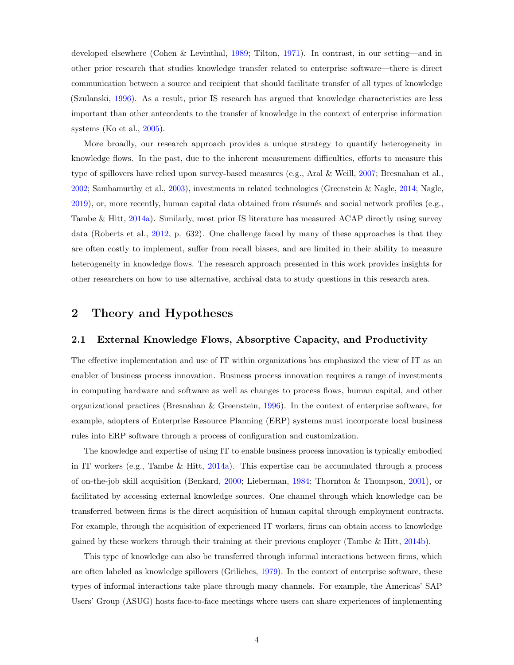developed elsewhere (Cohen & Levinthal, [1989;](#page-34-0) Tilton, [1971\)](#page-36-4). In contrast, in our setting—and in other prior research that studies knowledge transfer related to enterprise software—there is direct communication between a source and recipient that should facilitate transfer of all types of knowledge (Szulanski, [1996\)](#page-36-5). As a result, prior IS research has argued that knowledge characteristics are less important than other antecedents to the transfer of knowledge in the context of enterprise information systems (Ko et al., [2005\)](#page-35-0).

More broadly, our research approach provides a unique strategy to quantify heterogeneity in knowledge flows. In the past, due to the inherent measurement difficulties, efforts to measure this type of spillovers have relied upon survey-based measures (e.g., Aral & Weill, [2007;](#page-32-0) Bresnahan et al., [2002;](#page-33-2) Sambamurthy et al., [2003\)](#page-36-6), investments in related technologies (Greenstein & Nagle, [2014;](#page-34-4) Nagle,  $2019$ ), or, more recently, human capital data obtained from résumés and social network profiles (e.g., Tambe & Hitt, [2014a\)](#page-36-0). Similarly, most prior IS literature has measured ACAP directly using survey data (Roberts et al., [2012,](#page-36-2) p. 632). One challenge faced by many of these approaches is that they are often costly to implement, suffer from recall biases, and are limited in their ability to measure heterogeneity in knowledge flows. The research approach presented in this work provides insights for other researchers on how to use alternative, archival data to study questions in this research area.

# 2 Theory and Hypotheses

## 2.1 External Knowledge Flows, Absorptive Capacity, and Productivity

The effective implementation and use of IT within organizations has emphasized the view of IT as an enabler of business process innovation. Business process innovation requires a range of investments in computing hardware and software as well as changes to process flows, human capital, and other organizational practices (Bresnahan & Greenstein, [1996\)](#page-33-3). In the context of enterprise software, for example, adopters of Enterprise Resource Planning (ERP) systems must incorporate local business rules into ERP software through a process of configuration and customization.

The knowledge and expertise of using IT to enable business process innovation is typically embodied in IT workers (e.g., Tambe & Hitt, [2014a\)](#page-36-0). This expertise can be accumulated through a process of on-the-job skill acquisition (Benkard, [2000;](#page-33-11) Lieberman, [1984;](#page-35-2) Thornton & Thompson, [2001\)](#page-36-3), or facilitated by accessing external knowledge sources. One channel through which knowledge can be transferred between firms is the direct acquisition of human capital through employment contracts. For example, through the acquisition of experienced IT workers, firms can obtain access to knowledge gained by these workers through their training at their previous employer (Tambe  $\&$  Hitt, [2014b\)](#page-36-8).

This type of knowledge can also be transferred through informal interactions between firms, which are often labeled as knowledge spillovers (Griliches, [1979\)](#page-34-5). In the context of enterprise software, these types of informal interactions take place through many channels. For example, the Americas' SAP Users' Group (ASUG) hosts face-to-face meetings where users can share experiences of implementing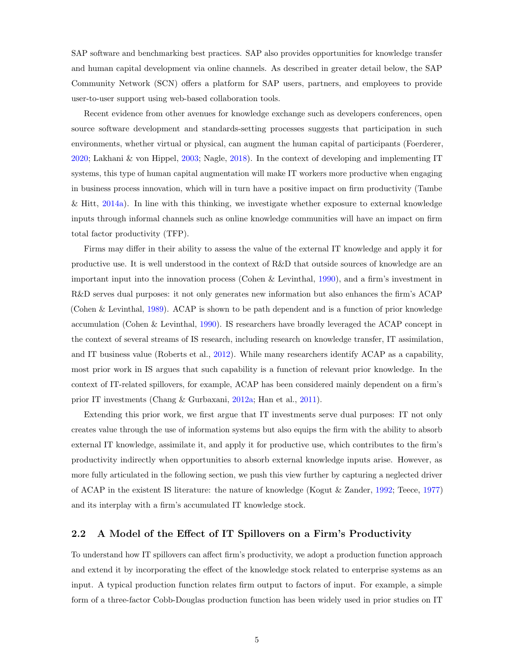SAP software and benchmarking best practices. SAP also provides opportunities for knowledge transfer and human capital development via online channels. As described in greater detail below, the SAP Community Network (SCN) offers a platform for SAP users, partners, and employees to provide user-to-user support using web-based collaboration tools.

Recent evidence from other avenues for knowledge exchange such as developers conferences, open source software development and standards-setting processes suggests that participation in such environments, whether virtual or physical, can augment the human capital of participants (Foerderer, [2020;](#page-34-6) Lakhani & von Hippel, [2003;](#page-35-3) Nagle, [2018\)](#page-36-9). In the context of developing and implementing IT systems, this type of human capital augmentation will make IT workers more productive when engaging in business process innovation, which will in turn have a positive impact on firm productivity (Tambe & Hitt, [2014a\)](#page-36-0). In line with this thinking, we investigate whether exposure to external knowledge inputs through informal channels such as online knowledge communities will have an impact on firm total factor productivity (TFP).

Firms may differ in their ability to assess the value of the external IT knowledge and apply it for productive use. It is well understood in the context of R&D that outside sources of knowledge are an important input into the innovation process (Cohen & Levinthal, [1990\)](#page-34-1), and a firm's investment in R&D serves dual purposes: it not only generates new information but also enhances the firm's ACAP (Cohen & Levinthal, [1989\)](#page-34-0). ACAP is shown to be path dependent and is a function of prior knowledge accumulation (Cohen & Levinthal, [1990\)](#page-34-1). IS researchers have broadly leveraged the ACAP concept in the context of several streams of IS research, including research on knowledge transfer, IT assimilation, and IT business value (Roberts et al., [2012\)](#page-36-2). While many researchers identify ACAP as a capability, most prior work in IS argues that such capability is a function of relevant prior knowledge. In the context of IT-related spillovers, for example, ACAP has been considered mainly dependent on a firm's prior IT investments (Chang & Gurbaxani, [2012a;](#page-33-7) Han et al., [2011\)](#page-35-1).

Extending this prior work, we first argue that IT investments serve dual purposes: IT not only creates value through the use of information systems but also equips the firm with the ability to absorb external IT knowledge, assimilate it, and apply it for productive use, which contributes to the firm's productivity indirectly when opportunities to absorb external knowledge inputs arise. However, as more fully articulated in the following section, we push this view further by capturing a neglected driver of ACAP in the existent IS literature: the nature of knowledge (Kogut & Zander, [1992;](#page-35-4) Teece, [1977\)](#page-36-10) and its interplay with a firm's accumulated IT knowledge stock.

## 2.2 A Model of the Effect of IT Spillovers on a Firm's Productivity

To understand how IT spillovers can affect firm's productivity, we adopt a production function approach and extend it by incorporating the effect of the knowledge stock related to enterprise systems as an input. A typical production function relates firm output to factors of input. For example, a simple form of a three-factor Cobb-Douglas production function has been widely used in prior studies on IT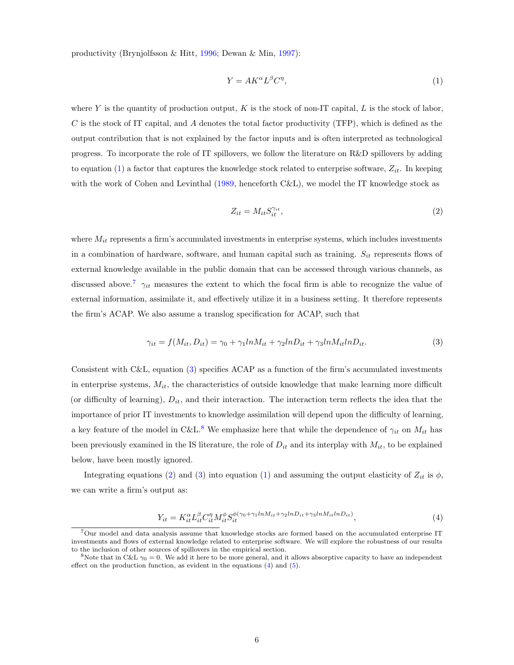productivity (Brynjolfsson & Hitt, [1996;](#page-33-12) Dewan & Min, [1997\)](#page-34-7):

<span id="page-5-0"></span>
$$
Y = AK^{\alpha}L^{\beta}C^{\eta},\tag{1}
$$

where Y is the quantity of production output, K is the stock of non-IT capital, L is the stock of labor, C is the stock of IT capital, and A denotes the total factor productivity (TFP), which is defined as the output contribution that is not explained by the factor inputs and is often interpreted as technological progress. To incorporate the role of IT spillovers, we follow the literature on R&D spillovers by adding to equation [\(1\)](#page-5-0) a factor that captures the knowledge stock related to enterprise software,  $Z_{it}$ . In keeping with the work of Cohen and Levinthal [\(1989,](#page-34-0) henceforth C&L), we model the IT knowledge stock as

<span id="page-5-4"></span>
$$
Z_{it} = M_{it} S_{it}^{\gamma_{it}},\tag{2}
$$

where  $M_{it}$  represents a firm's accumulated investments in enterprise systems, which includes investments in a combination of hardware, software, and human capital such as training.  $S_{it}$  represents flows of external knowledge available in the public domain that can be accessed through various channels, as discussed above.<sup>[7](#page-5-1)</sup>  $\gamma_{it}$  measures the extent to which the focal firm is able to recognize the value of external information, assimilate it, and effectively utilize it in a business setting. It therefore represents the firm's ACAP. We also assume a translog specification for ACAP, such that

<span id="page-5-2"></span>
$$
\gamma_{it} = f(M_{it}, D_{it}) = \gamma_0 + \gamma_1 ln M_{it} + \gamma_2 ln D_{it} + \gamma_3 ln M_{it} ln D_{it}.
$$
\n(3)

Consistent with C&L, equation [\(3\)](#page-5-2) specifies ACAP as a function of the firm's accumulated investments in enterprise systems,  $M_{it}$ , the characteristics of outside knowledge that make learning more difficult (or difficulty of learning),  $D_{it}$ , and their interaction. The interaction term reflects the idea that the importance of prior IT investments to knowledge assimilation will depend upon the difficulty of learning, a key feature of the model in C&L.<sup>[8](#page-5-3)</sup> We emphasize here that while the dependence of  $\gamma_{it}$  on  $M_{it}$  has been previously examined in the IS literature, the role of  $D_{it}$  and its interplay with  $M_{it}$ , to be explained below, have been mostly ignored.

Integrating equations [\(2\)](#page-5-4) and [\(3\)](#page-5-2) into equation [\(1\)](#page-5-0) and assuming the output elasticity of  $Z_{it}$  is  $\phi$ , we can write a firm's output as:

<span id="page-5-5"></span>
$$
Y_{it} = K_{it}^{\alpha} L_{it}^{\beta} C_{it}^{\eta} M_{it}^{\phi} S_{it}^{\phi(\gamma_0 + \gamma_1 ln M_{it} + \gamma_2 ln D_{it} + \gamma_3 ln M_{it} ln D_{it})}, \qquad (4)
$$

<span id="page-5-1"></span><sup>7</sup>Our model and data analysis assume that knowledge stocks are formed based on the accumulated enterprise IT investments and flows of external knowledge related to enterprise software. We will explore the robustness of our results to the inclusion of other sources of spillovers in the empirical section.

<span id="page-5-3"></span><sup>&</sup>lt;sup>8</sup>Note that in C&L  $\gamma_0 = 0$ . We add it here to be more general, and it allows absorptive capacity to have an independent effect on the production function, as evident in the equations  $(4)$  and  $(5)$ .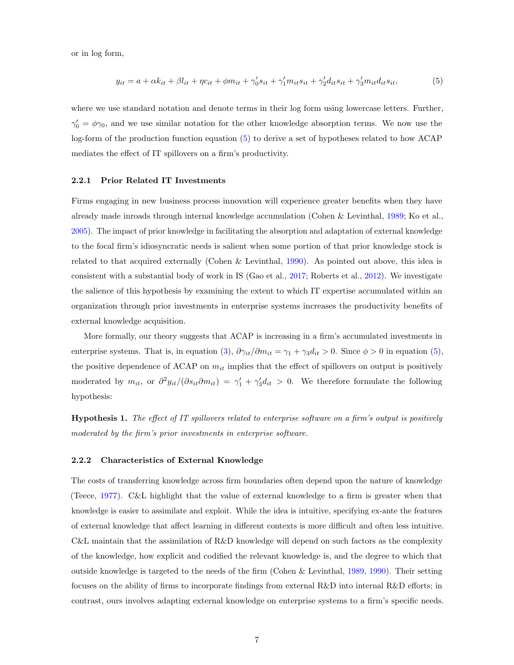or in log form,

<span id="page-6-0"></span>
$$
y_{it} = a + \alpha k_{it} + \beta l_{it} + \eta c_{it} + \phi m_{it} + \gamma'_0 s_{it} + \gamma'_1 m_{it} s_{it} + \gamma'_2 d_{it} s_{it} + \gamma'_3 m_{it} d_{it} s_{it},
$$
(5)

where we use standard notation and denote terms in their log form using lowercase letters. Further,  $\gamma'_0 = \phi \gamma_0$ , and we use similar notation for the other knowledge absorption terms. We now use the log-form of the production function equation [\(5\)](#page-6-0) to derive a set of hypotheses related to how ACAP mediates the effect of IT spillovers on a firm's productivity.

#### 2.2.1 Prior Related IT Investments

Firms engaging in new business process innovation will experience greater benefits when they have already made inroads through internal knowledge accumulation (Cohen & Levinthal, [1989;](#page-34-0) Ko et al., [2005\)](#page-35-0). The impact of prior knowledge in facilitating the absorption and adaptation of external knowledge to the focal firm's idiosyncratic needs is salient when some portion of that prior knowledge stock is related to that acquired externally (Cohen & Levinthal, [1990\)](#page-34-1). As pointed out above, this idea is consistent with a substantial body of work in IS (Gao et al., [2017;](#page-34-8) Roberts et al., [2012\)](#page-36-2). We investigate the salience of this hypothesis by examining the extent to which IT expertise accumulated within an organization through prior investments in enterprise systems increases the productivity benefits of external knowledge acquisition.

More formally, our theory suggests that ACAP is increasing in a firm's accumulated investments in enterprise systems. That is, in equation [\(3\)](#page-5-2),  $\partial \gamma_{it}/\partial m_{it} = \gamma_1 + \gamma_3 d_{it} > 0$ . Since  $\phi > 0$  in equation [\(5\)](#page-6-0), the positive dependence of ACAP on  $m_{it}$  implies that the effect of spillovers on output is positively moderated by  $m_{it}$ , or  $\partial^2 y_{it}/(\partial s_{it}\partial m_{it}) = \gamma'_1 + \gamma'_3 d_{it} > 0$ . We therefore formulate the following hypothesis:

<span id="page-6-1"></span>Hypothesis 1. The effect of IT spillovers related to enterprise software on a firm's output is positively moderated by the firm's prior investments in enterprise software.

#### 2.2.2 Characteristics of External Knowledge

The costs of transferring knowledge across firm boundaries often depend upon the nature of knowledge (Teece, [1977\)](#page-36-10). C&L highlight that the value of external knowledge to a firm is greater when that knowledge is easier to assimilate and exploit. While the idea is intuitive, specifying ex-ante the features of external knowledge that affect learning in different contexts is more difficult and often less intuitive. C&L maintain that the assimilation of R&D knowledge will depend on such factors as the complexity of the knowledge, how explicit and codified the relevant knowledge is, and the degree to which that outside knowledge is targeted to the needs of the firm (Cohen & Levinthal, [1989,](#page-34-0) [1990\)](#page-34-1). Their setting focuses on the ability of firms to incorporate findings from external R&D into internal R&D efforts; in contrast, ours involves adapting external knowledge on enterprise systems to a firm's specific needs.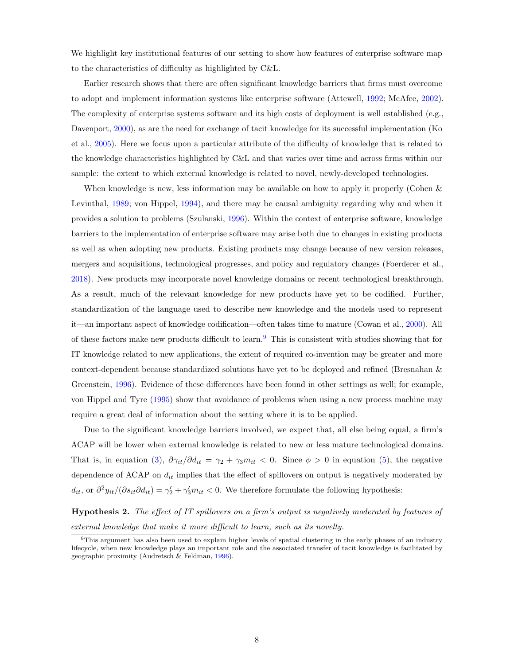We highlight key institutional features of our setting to show how features of enterprise software map to the characteristics of difficulty as highlighted by C&L.

Earlier research shows that there are often significant knowledge barriers that firms must overcome to adopt and implement information systems like enterprise software (Attewell, [1992;](#page-32-3) McAfee, [2002\)](#page-35-5). The complexity of enterprise systems software and its high costs of deployment is well established (e.g., Davenport, [2000\)](#page-34-9), as are the need for exchange of tacit knowledge for its successful implementation (Ko et al., [2005\)](#page-35-0). Here we focus upon a particular attribute of the difficulty of knowledge that is related to the knowledge characteristics highlighted by C&L and that varies over time and across firms within our sample: the extent to which external knowledge is related to novel, newly-developed technologies.

When knowledge is new, less information may be available on how to apply it properly (Cohen & Levinthal, [1989;](#page-34-0) von Hippel, [1994\)](#page-37-0), and there may be causal ambiguity regarding why and when it provides a solution to problems (Szulanski, [1996\)](#page-36-5). Within the context of enterprise software, knowledge barriers to the implementation of enterprise software may arise both due to changes in existing products as well as when adopting new products. Existing products may change because of new version releases, mergers and acquisitions, technological progresses, and policy and regulatory changes (Foerderer et al., [2018\)](#page-34-10). New products may incorporate novel knowledge domains or recent technological breakthrough. As a result, much of the relevant knowledge for new products have yet to be codified. Further, standardization of the language used to describe new knowledge and the models used to represent it—an important aspect of knowledge codification—often takes time to mature (Cowan et al., [2000\)](#page-34-11). All of these factors make new products difficult to learn.[9](#page-7-0) This is consistent with studies showing that for IT knowledge related to new applications, the extent of required co-invention may be greater and more context-dependent because standardized solutions have yet to be deployed and refined (Bresnahan & Greenstein, [1996\)](#page-33-3). Evidence of these differences have been found in other settings as well; for example, von Hippel and Tyre [\(1995\)](#page-37-1) show that avoidance of problems when using a new process machine may require a great deal of information about the setting where it is to be applied.

Due to the significant knowledge barriers involved, we expect that, all else being equal, a firm's ACAP will be lower when external knowledge is related to new or less mature technological domains. That is, in equation [\(3\)](#page-5-2),  $\partial \gamma_{it}/\partial d_{it} = \gamma_2 + \gamma_3 m_{it} < 0$ . Since  $\phi > 0$  in equation [\(5\)](#page-6-0), the negative dependence of ACAP on  $d_{it}$  implies that the effect of spillovers on output is negatively moderated by  $d_{it}$ , or  $\partial^2 y_{it}/(\partial s_{it}\partial d_{it}) = \gamma_2' + \gamma_3' m_{it} < 0$ . We therefore formulate the following hypothesis:

<span id="page-7-1"></span>**Hypothesis 2.** The effect of IT spillovers on a firm's output is negatively moderated by features of external knowledge that make it more difficult to learn, such as its novelty.

<span id="page-7-0"></span><sup>9</sup>This argument has also been used to explain higher levels of spatial clustering in the early phases of an industry lifecycle, when new knowledge plays an important role and the associated transfer of tacit knowledge is facilitated by geographic proximity (Audretsch & Feldman, [1996\)](#page-32-4).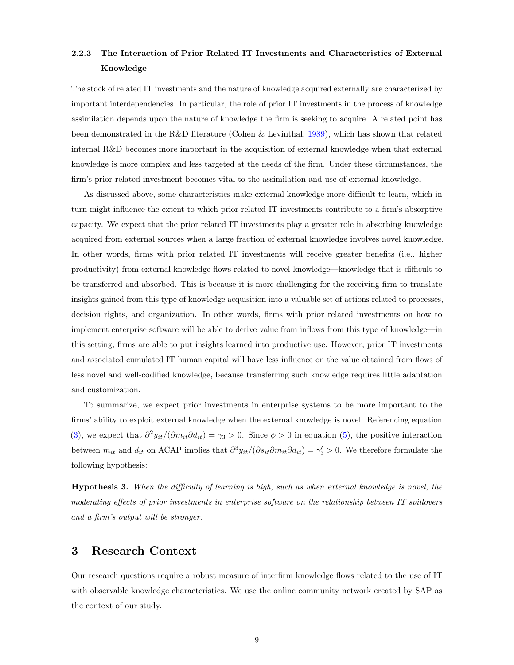# 2.2.3 The Interaction of Prior Related IT Investments and Characteristics of External Knowledge

The stock of related IT investments and the nature of knowledge acquired externally are characterized by important interdependencies. In particular, the role of prior IT investments in the process of knowledge assimilation depends upon the nature of knowledge the firm is seeking to acquire. A related point has been demonstrated in the R&D literature (Cohen & Levinthal, [1989\)](#page-34-0), which has shown that related internal R&D becomes more important in the acquisition of external knowledge when that external knowledge is more complex and less targeted at the needs of the firm. Under these circumstances, the firm's prior related investment becomes vital to the assimilation and use of external knowledge.

As discussed above, some characteristics make external knowledge more difficult to learn, which in turn might influence the extent to which prior related IT investments contribute to a firm's absorptive capacity. We expect that the prior related IT investments play a greater role in absorbing knowledge acquired from external sources when a large fraction of external knowledge involves novel knowledge. In other words, firms with prior related IT investments will receive greater benefits (i.e., higher productivity) from external knowledge flows related to novel knowledge—knowledge that is difficult to be transferred and absorbed. This is because it is more challenging for the receiving firm to translate insights gained from this type of knowledge acquisition into a valuable set of actions related to processes, decision rights, and organization. In other words, firms with prior related investments on how to implement enterprise software will be able to derive value from inflows from this type of knowledge—in this setting, firms are able to put insights learned into productive use. However, prior IT investments and associated cumulated IT human capital will have less influence on the value obtained from flows of less novel and well-codified knowledge, because transferring such knowledge requires little adaptation and customization.

To summarize, we expect prior investments in enterprise systems to be more important to the firms' ability to exploit external knowledge when the external knowledge is novel. Referencing equation [\(3\)](#page-5-2), we expect that  $\partial^2 y_{it}/(\partial m_{it}\partial d_{it}) = \gamma_3 > 0$ . Since  $\phi > 0$  in equation [\(5\)](#page-6-0), the positive interaction between  $m_{it}$  and  $d_{it}$  on ACAP implies that  $\partial^3 y_{it}/(\partial s_{it} \partial m_{it} \partial d_{it}) = \gamma'_3 > 0$ . We therefore formulate the following hypothesis:

<span id="page-8-0"></span>Hypothesis 3. When the difficulty of learning is high, such as when external knowledge is novel, the moderating effects of prior investments in enterprise software on the relationship between IT spillovers and a firm's output will be stronger.

# 3 Research Context

Our research questions require a robust measure of interfirm knowledge flows related to the use of IT with observable knowledge characteristics. We use the online community network created by SAP as the context of our study.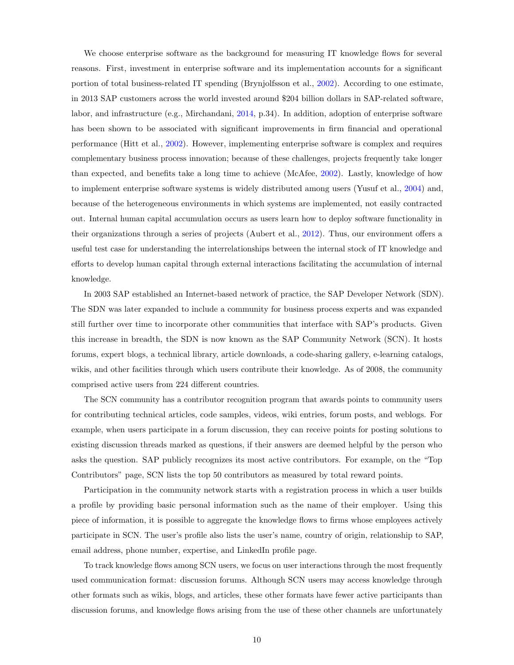We choose enterprise software as the background for measuring IT knowledge flows for several reasons. First, investment in enterprise software and its implementation accounts for a significant portion of total business-related IT spending (Brynjolfsson et al., [2002\)](#page-33-13). According to one estimate, in 2013 SAP customers across the world invested around \$204 billion dollars in SAP-related software, labor, and infrastructure (e.g., Mirchandani, [2014,](#page-35-6) p.34). In addition, adoption of enterprise software has been shown to be associated with significant improvements in firm financial and operational performance (Hitt et al., [2002\)](#page-35-7). However, implementing enterprise software is complex and requires complementary business process innovation; because of these challenges, projects frequently take longer than expected, and benefits take a long time to achieve (McAfee, [2002\)](#page-35-5). Lastly, knowledge of how to implement enterprise software systems is widely distributed among users (Yusuf et al., [2004\)](#page-37-2) and, because of the heterogeneous environments in which systems are implemented, not easily contracted out. Internal human capital accumulation occurs as users learn how to deploy software functionality in their organizations through a series of projects (Aubert et al., [2012\)](#page-32-5). Thus, our environment offers a useful test case for understanding the interrelationships between the internal stock of IT knowledge and efforts to develop human capital through external interactions facilitating the accumulation of internal knowledge.

In 2003 SAP established an Internet-based network of practice, the SAP Developer Network (SDN). The SDN was later expanded to include a community for business process experts and was expanded still further over time to incorporate other communities that interface with SAP's products. Given this increase in breadth, the SDN is now known as the SAP Community Network (SCN). It hosts forums, expert blogs, a technical library, article downloads, a code-sharing gallery, e-learning catalogs, wikis, and other facilities through which users contribute their knowledge. As of 2008, the community comprised active users from 224 different countries.

The SCN community has a contributor recognition program that awards points to community users for contributing technical articles, code samples, videos, wiki entries, forum posts, and weblogs. For example, when users participate in a forum discussion, they can receive points for posting solutions to existing discussion threads marked as questions, if their answers are deemed helpful by the person who asks the question. SAP publicly recognizes its most active contributors. For example, on the "Top Contributors" page, SCN lists the top 50 contributors as measured by total reward points.

Participation in the community network starts with a registration process in which a user builds a profile by providing basic personal information such as the name of their employer. Using this piece of information, it is possible to aggregate the knowledge flows to firms whose employees actively participate in SCN. The user's profile also lists the user's name, country of origin, relationship to SAP, email address, phone number, expertise, and LinkedIn profile page.

To track knowledge flows among SCN users, we focus on user interactions through the most frequently used communication format: discussion forums. Although SCN users may access knowledge through other formats such as wikis, blogs, and articles, these other formats have fewer active participants than discussion forums, and knowledge flows arising from the use of these other channels are unfortunately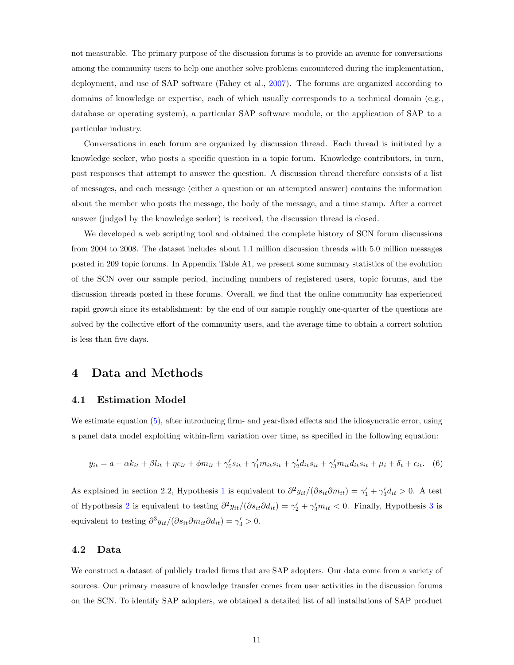not measurable. The primary purpose of the discussion forums is to provide an avenue for conversations among the community users to help one another solve problems encountered during the implementation, deployment, and use of SAP software (Fahey et al., [2007\)](#page-34-12). The forums are organized according to domains of knowledge or expertise, each of which usually corresponds to a technical domain (e.g., database or operating system), a particular SAP software module, or the application of SAP to a particular industry.

Conversations in each forum are organized by discussion thread. Each thread is initiated by a knowledge seeker, who posts a specific question in a topic forum. Knowledge contributors, in turn, post responses that attempt to answer the question. A discussion thread therefore consists of a list of messages, and each message (either a question or an attempted answer) contains the information about the member who posts the message, the body of the message, and a time stamp. After a correct answer (judged by the knowledge seeker) is received, the discussion thread is closed.

We developed a web scripting tool and obtained the complete history of SCN forum discussions from 2004 to 2008. The dataset includes about 1.1 million discussion threads with 5.0 million messages posted in 209 topic forums. In Appendix Table A1, we present some summary statistics of the evolution of the SCN over our sample period, including numbers of registered users, topic forums, and the discussion threads posted in these forums. Overall, we find that the online community has experienced rapid growth since its establishment: by the end of our sample roughly one-quarter of the questions are solved by the collective effort of the community users, and the average time to obtain a correct solution is less than five days.

## 4 Data and Methods

## 4.1 Estimation Model

We estimate equation [\(5\)](#page-6-0), after introducing firm- and year-fixed effects and the idiosyncratic error, using a panel data model exploiting within-firm variation over time, as specified in the following equation:

<span id="page-10-0"></span>
$$
y_{it} = a + \alpha k_{it} + \beta l_{it} + \eta c_{it} + \phi m_{it} + \gamma'_0 s_{it} + \gamma'_1 m_{it} s_{it} + \gamma'_2 d_{it} s_{it} + \gamma'_3 m_{it} d_{it} s_{it} + \mu_i + \delta_t + \epsilon_{it}.
$$
 (6)

As explained in section 2.2, Hypothesis [1](#page-6-1) is equivalent to  $\partial^2 y_{it}/(\partial s_{it}\partial m_{it}) = \gamma'_1 + \gamma'_3 d_{it} > 0$ . A test of Hypothesis [2](#page-7-1) is equivalent to testing  $\partial^2 y_{it}/(\partial s_{it}\partial d_{it}) = \gamma'_2 + \gamma'_3 m_{it} < 0$  $\partial^2 y_{it}/(\partial s_{it}\partial d_{it}) = \gamma'_2 + \gamma'_3 m_{it} < 0$  $\partial^2 y_{it}/(\partial s_{it}\partial d_{it}) = \gamma'_2 + \gamma'_3 m_{it} < 0$ . Finally, Hypothesis 3 is equivalent to testing  $\partial^3 y_{it}/(\partial s_{it} \partial m_{it} \partial d_{it}) = \gamma'_3 > 0$ .

## 4.2 Data

We construct a dataset of publicly traded firms that are SAP adopters. Our data come from a variety of sources. Our primary measure of knowledge transfer comes from user activities in the discussion forums on the SCN. To identify SAP adopters, we obtained a detailed list of all installations of SAP product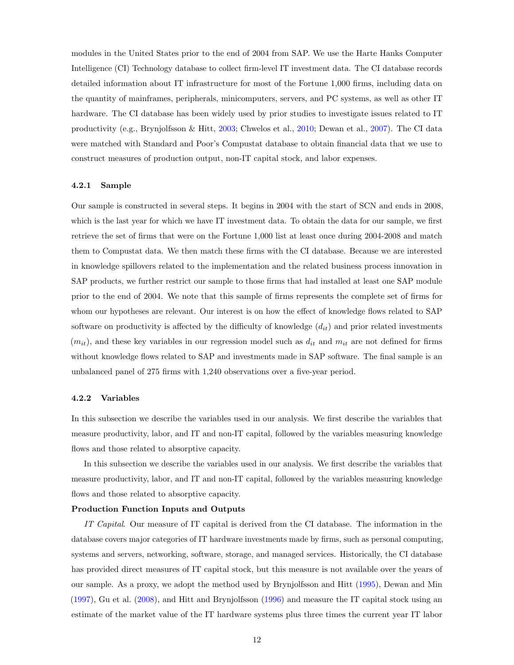modules in the United States prior to the end of 2004 from SAP. We use the Harte Hanks Computer Intelligence (CI) Technology database to collect firm-level IT investment data. The CI database records detailed information about IT infrastructure for most of the Fortune 1,000 firms, including data on the quantity of mainframes, peripherals, minicomputers, servers, and PC systems, as well as other IT hardware. The CI database has been widely used by prior studies to investigate issues related to IT productivity (e.g., Brynjolfsson & Hitt, [2003;](#page-33-0) Chwelos et al., [2010;](#page-34-13) Dewan et al., [2007\)](#page-34-14). The CI data were matched with Standard and Poor's Compustat database to obtain financial data that we use to construct measures of production output, non-IT capital stock, and labor expenses.

#### 4.2.1 Sample

Our sample is constructed in several steps. It begins in 2004 with the start of SCN and ends in 2008, which is the last year for which we have IT investment data. To obtain the data for our sample, we first retrieve the set of firms that were on the Fortune 1,000 list at least once during 2004-2008 and match them to Compustat data. We then match these firms with the CI database. Because we are interested in knowledge spillovers related to the implementation and the related business process innovation in SAP products, we further restrict our sample to those firms that had installed at least one SAP module prior to the end of 2004. We note that this sample of firms represents the complete set of firms for whom our hypotheses are relevant. Our interest is on how the effect of knowledge flows related to SAP software on productivity is affected by the difficulty of knowledge  $(d_{it})$  and prior related investments  $(m_{it})$ , and these key variables in our regression model such as  $d_{it}$  and  $m_{it}$  are not defined for firms without knowledge flows related to SAP and investments made in SAP software. The final sample is an unbalanced panel of 275 firms with 1,240 observations over a five-year period.

#### 4.2.2 Variables

In this subsection we describe the variables used in our analysis. We first describe the variables that measure productivity, labor, and IT and non-IT capital, followed by the variables measuring knowledge flows and those related to absorptive capacity.

In this subsection we describe the variables used in our analysis. We first describe the variables that measure productivity, labor, and IT and non-IT capital, followed by the variables measuring knowledge flows and those related to absorptive capacity.

#### Production Function Inputs and Outputs

IT Capital. Our measure of IT capital is derived from the CI database. The information in the database covers major categories of IT hardware investments made by firms, such as personal computing, systems and servers, networking, software, storage, and managed services. Historically, the CI database has provided direct measures of IT capital stock, but this measure is not available over the years of our sample. As a proxy, we adopt the method used by Brynjolfsson and Hitt [\(1995\)](#page-33-14), Dewan and Min [\(1997\)](#page-34-7), Gu et al. [\(2008\)](#page-34-15), and Hitt and Brynjolfsson [\(1996\)](#page-35-8) and measure the IT capital stock using an estimate of the market value of the IT hardware systems plus three times the current year IT labor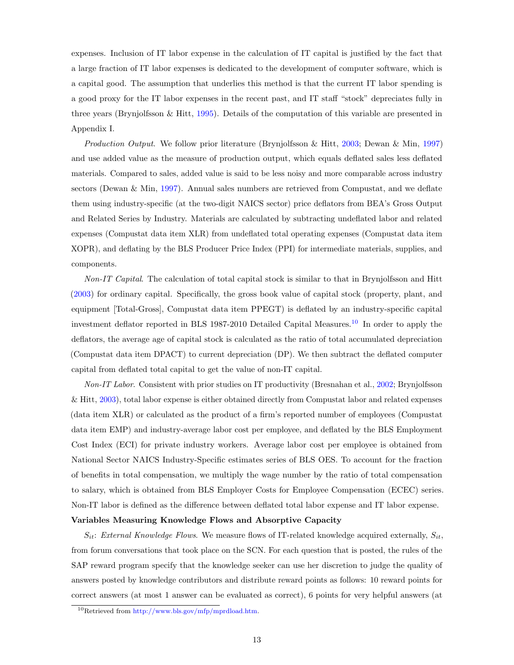expenses. Inclusion of IT labor expense in the calculation of IT capital is justified by the fact that a large fraction of IT labor expenses is dedicated to the development of computer software, which is a capital good. The assumption that underlies this method is that the current IT labor spending is a good proxy for the IT labor expenses in the recent past, and IT staff "stock" depreciates fully in three years (Brynjolfsson & Hitt, [1995\)](#page-33-14). Details of the computation of this variable are presented in Appendix I.

Production Output. We follow prior literature (Brynjolfsson & Hitt, [2003;](#page-33-0) Dewan & Min, [1997\)](#page-34-7) and use added value as the measure of production output, which equals deflated sales less deflated materials. Compared to sales, added value is said to be less noisy and more comparable across industry sectors (Dewan  $\&$  Min, [1997\)](#page-34-7). Annual sales numbers are retrieved from Compustat, and we deflate them using industry-specific (at the two-digit NAICS sector) price deflators from BEA's Gross Output and Related Series by Industry. Materials are calculated by subtracting undeflated labor and related expenses (Compustat data item XLR) from undeflated total operating expenses (Compustat data item XOPR), and deflating by the BLS Producer Price Index (PPI) for intermediate materials, supplies, and components.

Non-IT Capital. The calculation of total capital stock is similar to that in Brynjolfsson and Hitt [\(2003\)](#page-33-0) for ordinary capital. Specifically, the gross book value of capital stock (property, plant, and equipment [Total-Gross], Compustat data item PPEGT) is deflated by an industry-specific capital investment deflator reported in BLS 1987-20[10](#page-12-0) Detailed Capital Measures.<sup>10</sup> In order to apply the deflators, the average age of capital stock is calculated as the ratio of total accumulated depreciation (Compustat data item DPACT) to current depreciation (DP). We then subtract the deflated computer capital from deflated total capital to get the value of non-IT capital.

Non-IT Labor. Consistent with prior studies on IT productivity (Bresnahan et al., [2002;](#page-33-2) Brynjolfsson & Hitt, [2003\)](#page-33-0), total labor expense is either obtained directly from Compustat labor and related expenses (data item XLR) or calculated as the product of a firm's reported number of employees (Compustat data item EMP) and industry-average labor cost per employee, and deflated by the BLS Employment Cost Index (ECI) for private industry workers. Average labor cost per employee is obtained from National Sector NAICS Industry-Specific estimates series of BLS OES. To account for the fraction of benefits in total compensation, we multiply the wage number by the ratio of total compensation to salary, which is obtained from BLS Employer Costs for Employee Compensation (ECEC) series. Non-IT labor is defined as the difference between deflated total labor expense and IT labor expense.

#### Variables Measuring Knowledge Flows and Absorptive Capacity

 $S_{it}$ : External Knowledge Flows. We measure flows of IT-related knowledge acquired externally,  $S_{it}$ , from forum conversations that took place on the SCN. For each question that is posted, the rules of the SAP reward program specify that the knowledge seeker can use her discretion to judge the quality of answers posted by knowledge contributors and distribute reward points as follows: 10 reward points for correct answers (at most 1 answer can be evaluated as correct), 6 points for very helpful answers (at

<span id="page-12-0"></span><sup>10</sup>Retrieved from [http://www.bls.gov/mfp/mprdload.htm.](http://www.bls.gov/mfp/mprdload.htm)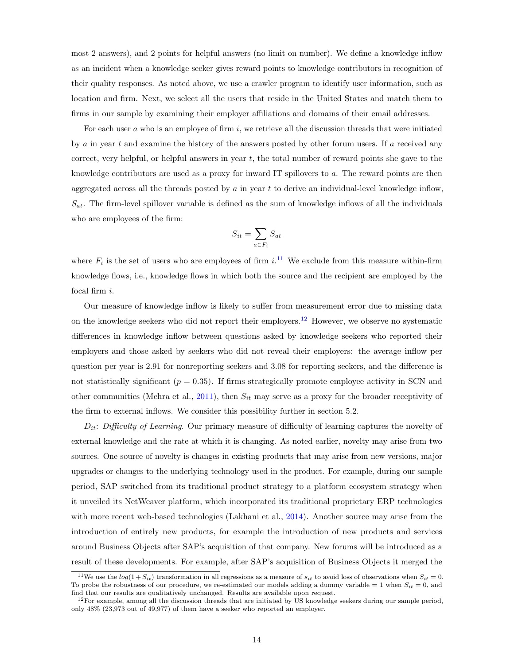most 2 answers), and 2 points for helpful answers (no limit on number). We define a knowledge inflow as an incident when a knowledge seeker gives reward points to knowledge contributors in recognition of their quality responses. As noted above, we use a crawler program to identify user information, such as location and firm. Next, we select all the users that reside in the United States and match them to firms in our sample by examining their employer affiliations and domains of their email addresses.

For each user  $a$  who is an employee of firm  $i$ , we retrieve all the discussion threads that were initiated by  $\alpha$  in year t and examine the history of the answers posted by other forum users. If  $\alpha$  received any correct, very helpful, or helpful answers in year  $t$ , the total number of reward points she gave to the knowledge contributors are used as a proxy for inward IT spillovers to a. The reward points are then aggregated across all the threads posted by  $a$  in year  $t$  to derive an individual-level knowledge inflow,  $S_{at}$ . The firm-level spillover variable is defined as the sum of knowledge inflows of all the individuals who are employees of the firm:

$$
S_{it} = \sum_{a \in F_i} S_{at}
$$

where  $F_i$  is the set of users who are employees of firm i.<sup>[11](#page-13-0)</sup> We exclude from this measure within-firm knowledge flows, i.e., knowledge flows in which both the source and the recipient are employed by the focal firm i.

Our measure of knowledge inflow is likely to suffer from measurement error due to missing data on the knowledge seekers who did not report their employers.<sup>[12](#page-13-1)</sup> However, we observe no systematic differences in knowledge inflow between questions asked by knowledge seekers who reported their employers and those asked by seekers who did not reveal their employers: the average inflow per question per year is 2.91 for nonreporting seekers and 3.08 for reporting seekers, and the difference is not statistically significant ( $p = 0.35$ ). If firms strategically promote employee activity in SCN and other communities (Mehra et al., [2011\)](#page-35-9), then  $S_{it}$  may serve as a proxy for the broader receptivity of the firm to external inflows. We consider this possibility further in section 5.2.

 $D_{it}$ : Difficulty of Learning. Our primary measure of difficulty of learning captures the novelty of external knowledge and the rate at which it is changing. As noted earlier, novelty may arise from two sources. One source of novelty is changes in existing products that may arise from new versions, major upgrades or changes to the underlying technology used in the product. For example, during our sample period, SAP switched from its traditional product strategy to a platform ecosystem strategy when it unveiled its NetWeaver platform, which incorporated its traditional proprietary ERP technologies with more recent web-based technologies (Lakhani et al., [2014\)](#page-35-10). Another source may arise from the introduction of entirely new products, for example the introduction of new products and services around Business Objects after SAP's acquisition of that company. New forums will be introduced as a result of these developments. For example, after SAP's acquisition of Business Objects it merged the

<span id="page-13-0"></span><sup>&</sup>lt;sup>11</sup>We use the  $log(1 + S_{it})$  transformation in all regressions as a measure of  $s_{it}$  to avoid loss of observations when  $S_{it} = 0$ . To probe the robustness of our procedure, we re-estimated our models adding a dummy variable = 1 when  $S_{it} = 0$ , and find that our results are qualitatively unchanged. Results are available upon request.

<span id="page-13-1"></span> $12$ For example, among all the discussion threads that are initiated by US knowledge seekers during our sample period, only 48% (23,973 out of 49,977) of them have a seeker who reported an employer.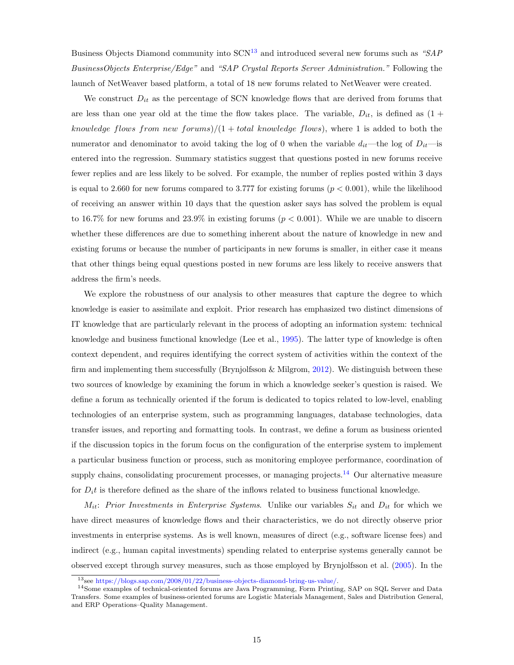Business Objects Diamond community into  $SCN<sup>13</sup>$  $SCN<sup>13</sup>$  $SCN<sup>13</sup>$  and introduced several new forums such as "SAP BusinessObjects Enterprise/Edge" and "SAP Crystal Reports Server Administration." Following the launch of NetWeaver based platform, a total of 18 new forums related to NetWeaver were created.

We construct  $D_{it}$  as the percentage of SCN knowledge flows that are derived from forums that are less than one year old at the time the flow takes place. The variable,  $D_{it}$ , is defined as  $(1 +$ knowledge flows from new forums)/ $(1 + total$  knowledge flows), where 1 is added to both the numerator and denominator to avoid taking the log of 0 when the variable  $d_{it}$ —the log of  $D_{it}$ —is entered into the regression. Summary statistics suggest that questions posted in new forums receive fewer replies and are less likely to be solved. For example, the number of replies posted within 3 days is equal to 2.660 for new forums compared to 3.777 for existing forums  $(p < 0.001)$ , while the likelihood of receiving an answer within 10 days that the question asker says has solved the problem is equal to 16.7% for new forums and 23.9% in existing forums ( $p < 0.001$ ). While we are unable to discern whether these differences are due to something inherent about the nature of knowledge in new and existing forums or because the number of participants in new forums is smaller, in either case it means that other things being equal questions posted in new forums are less likely to receive answers that address the firm's needs.

We explore the robustness of our analysis to other measures that capture the degree to which knowledge is easier to assimilate and exploit. Prior research has emphasized two distinct dimensions of IT knowledge that are particularly relevant in the process of adopting an information system: technical knowledge and business functional knowledge (Lee et al., [1995\)](#page-35-11). The latter type of knowledge is often context dependent, and requires identifying the correct system of activities within the context of the firm and implementing them successfully (Brynjolfsson & Milgrom, [2012\)](#page-33-9). We distinguish between these two sources of knowledge by examining the forum in which a knowledge seeker's question is raised. We define a forum as technically oriented if the forum is dedicated to topics related to low-level, enabling technologies of an enterprise system, such as programming languages, database technologies, data transfer issues, and reporting and formatting tools. In contrast, we define a forum as business oriented if the discussion topics in the forum focus on the configuration of the enterprise system to implement a particular business function or process, such as monitoring employee performance, coordination of supply chains, consolidating procurement processes, or managing projects.<sup>[14](#page-14-1)</sup> Our alternative measure for  $D_i t$  is therefore defined as the share of the inflows related to business functional knowledge.

 $M_{it}$ : Prior Investments in Enterprise Systems. Unlike our variables  $S_{it}$  and  $D_{it}$  for which we have direct measures of knowledge flows and their characteristics, we do not directly observe prior investments in enterprise systems. As is well known, measures of direct (e.g., software license fees) and indirect (e.g., human capital investments) spending related to enterprise systems generally cannot be observed except through survey measures, such as those employed by Brynjolfsson et al. [\(2005\)](#page-33-15). In the

<span id="page-14-1"></span><span id="page-14-0"></span> $^{13}$ see [https://blogs.sap.com/2008/01/22/business-objects-diamond-bring-us-value/.]( https://blogs.sap.com/2008/01/22/business-objects-diamond-bring-us-value/)

<sup>14</sup>Some examples of technical-oriented forums are Java Programming, Form Printing, SAP on SQL Server and Data Transfers. Some examples of business-oriented forums are Logistic Materials Management, Sales and Distribution General, and ERP Operations–Quality Management.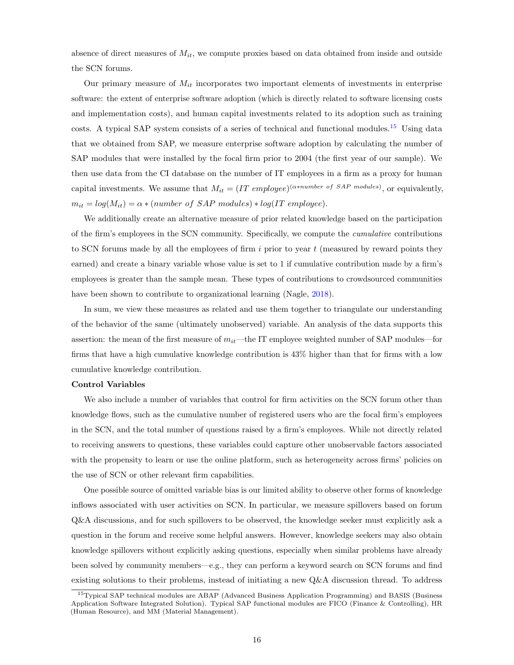absence of direct measures of  $M_{it}$ , we compute proxies based on data obtained from inside and outside the SCN forums.

Our primary measure of  $M_{it}$  incorporates two important elements of investments in enterprise software: the extent of enterprise software adoption (which is directly related to software licensing costs and implementation costs), and human capital investments related to its adoption such as training costs. A typical SAP system consists of a series of technical and functional modules.<sup>[15](#page-15-0)</sup> Using data that we obtained from SAP, we measure enterprise software adoption by calculating the number of SAP modules that were installed by the focal firm prior to 2004 (the first year of our sample). We then use data from the CI database on the number of IT employees in a firm as a proxy for human capital investments. We assume that  $M_{it} = (IT \; employee)^{(\alpha * number \; of \; SAP \; modules)}$ , or equivalently,  $m_{it} = log(M_{it}) = \alpha * (number \ of \ SAP \ modules) * log(IT \ employee).$ 

We additionally create an alternative measure of prior related knowledge based on the participation of the firm's employees in the SCN community. Specifically, we compute the cumulative contributions to SCN forums made by all the employees of firm  $i$  prior to year  $t$  (measured by reward points they earned) and create a binary variable whose value is set to 1 if cumulative contribution made by a firm's employees is greater than the sample mean. These types of contributions to crowdsourced communities have been shown to contribute to organizational learning (Nagle, [2018\)](#page-36-9).

In sum, we view these measures as related and use them together to triangulate our understanding of the behavior of the same (ultimately unobserved) variable. An analysis of the data supports this assertion: the mean of the first measure of  $m_{it}$ —the IT employee weighted number of SAP modules—for firms that have a high cumulative knowledge contribution is 43% higher than that for firms with a low cumulative knowledge contribution.

#### Control Variables

We also include a number of variables that control for firm activities on the SCN forum other than knowledge flows, such as the cumulative number of registered users who are the focal firm's employees in the SCN, and the total number of questions raised by a firm's employees. While not directly related to receiving answers to questions, these variables could capture other unobservable factors associated with the propensity to learn or use the online platform, such as heterogeneity across firms' policies on the use of SCN or other relevant firm capabilities.

One possible source of omitted variable bias is our limited ability to observe other forms of knowledge inflows associated with user activities on SCN. In particular, we measure spillovers based on forum Q&A discussions, and for such spillovers to be observed, the knowledge seeker must explicitly ask a question in the forum and receive some helpful answers. However, knowledge seekers may also obtain knowledge spillovers without explicitly asking questions, especially when similar problems have already been solved by community members—e.g., they can perform a keyword search on SCN forums and find existing solutions to their problems, instead of initiating a new Q&A discussion thread. To address

<span id="page-15-0"></span><sup>&</sup>lt;sup>15</sup>Typical SAP technical modules are ABAP (Advanced Business Application Programming) and BASIS (Business Application Software Integrated Solution). Typical SAP functional modules are FICO (Finance & Controlling), HR (Human Resource), and MM (Material Management).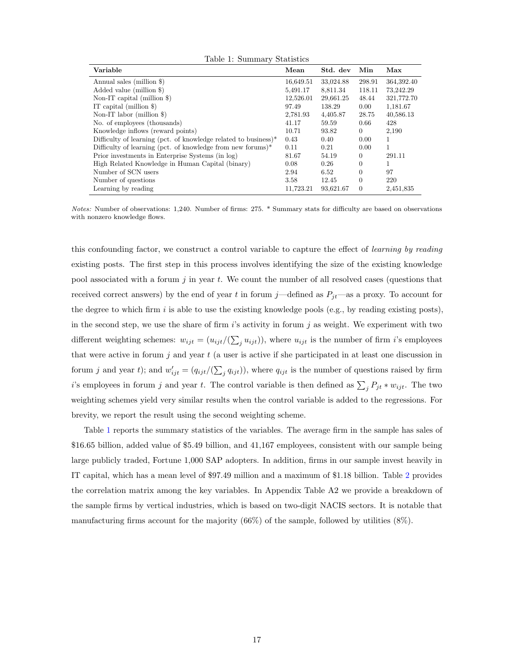<span id="page-16-0"></span>

| Table 1: Summary Statistics                                     |           |           |          |              |  |  |  |
|-----------------------------------------------------------------|-----------|-----------|----------|--------------|--|--|--|
| Variable                                                        | Mean      | Std. dev  | Min      | Max          |  |  |  |
| Annual sales (million \$)                                       | 16,649.51 | 33,024.88 | 298.91   | 364, 392. 40 |  |  |  |
| Added value (million \$)                                        | 5,491.17  | 8,811.34  | 118.11   | 73,242.29    |  |  |  |
| Non-IT capital (million $\})$                                   | 12,526.01 | 29,661.25 | 48.44    | 321,772.70   |  |  |  |
| IT capital (million $\})$                                       | 97.49     | 138.29    | 0.00     | 1,181.67     |  |  |  |
| Non-IT labor (million $\})$                                     | 2,781.93  | 4,405.87  | 28.75    | 40,586.13    |  |  |  |
| No. of employees (thousands)                                    | 41.17     | 59.59     | 0.66     | 428          |  |  |  |
| Knowledge inflows (reward points)                               | 10.71     | 93.82     | $\theta$ | 2,190        |  |  |  |
| Difficulty of learning (pct. of knowledge related to business)* | 0.43      | 0.40      | 0.00     | 1            |  |  |  |
| Difficulty of learning (pct. of knowledge from new forums)*     | 0.11      | 0.21      | 0.00     | 1            |  |  |  |
| Prior investments in Enterprise Systems (in log)                | 81.67     | 54.19     | $\theta$ | 291.11       |  |  |  |
| High Related Knowledge in Human Capital (binary)                | 0.08      | 0.26      | $\Omega$ | 1            |  |  |  |
| Number of SCN users                                             | 2.94      | 6.52      | $\Omega$ | 97           |  |  |  |
| Number of questions                                             | 3.58      | 12.45     | $\Omega$ | 220          |  |  |  |
| Learning by reading                                             | 11,723.21 | 93,621.67 | $\Omega$ | 2,451,835    |  |  |  |

Notes: Number of observations: 1,240. Number of firms: 275. \* Summary stats for difficulty are based on observations with nonzero knowledge flows.

this confounding factor, we construct a control variable to capture the effect of *learning by reading* existing posts. The first step in this process involves identifying the size of the existing knowledge pool associated with a forum j in year t. We count the number of all resolved cases (questions that received correct answers) by the end of year t in forum j—defined as  $P_{jt}$ —as a proxy. To account for the degree to which firm i is able to use the existing knowledge pools (e.g., by reading existing posts), in the second step, we use the share of firm  $i$ 's activity in forum  $j$  as weight. We experiment with two different weighting schemes:  $w_{ijt} = (u_{ijt}/(\sum_j u_{ijt}))$ , where  $u_{ijt}$  is the number of firm *i*'s employees that were active in forum  $j$  and year  $t$  (a user is active if she participated in at least one discussion in forum j and year t); and  $w'_{ijt} = (q_{ijt}/(\sum_j q_{ijt}))$ , where  $q_{ijt}$  is the number of questions raised by firm i's employees in forum j and year t. The control variable is then defined as  $\sum_j P_{jt} * w_{ijt}$ . The two weighting schemes yield very similar results when the control variable is added to the regressions. For brevity, we report the result using the second weighting scheme.

Table [1](#page-16-0) reports the summary statistics of the variables. The average firm in the sample has sales of \$16.65 billion, added value of \$5.49 billion, and 41,167 employees, consistent with our sample being large publicly traded, Fortune 1,000 SAP adopters. In addition, firms in our sample invest heavily in IT capital, which has a mean level of \$97.49 million and a maximum of \$1.18 billion. Table [2](#page-17-0) provides the correlation matrix among the key variables. In Appendix Table A2 we provide a breakdown of the sample firms by vertical industries, which is based on two-digit NACIS sectors. It is notable that manufacturing firms account for the majority (66%) of the sample, followed by utilities (8%).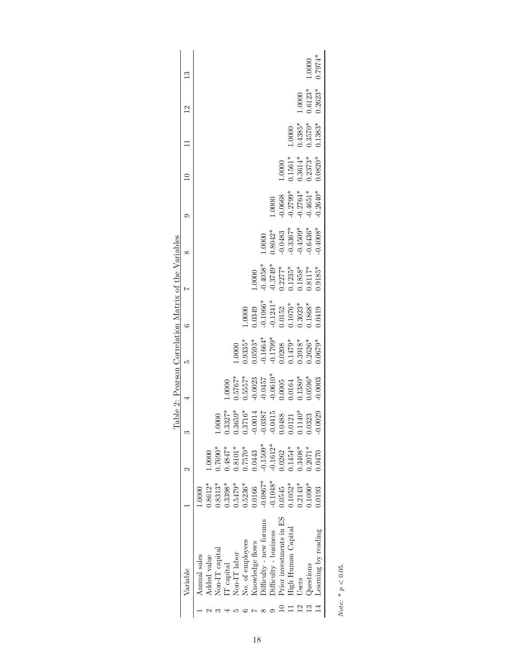|                                                      | $\mathbb{C}$           |              |                    |                |           |                                                                                                  |                  |                 |                                                                                                                           |                       |                                                                      |                       |                                    | 1.0000                | $0.7974*$           |  |
|------------------------------------------------------|------------------------|--------------|--------------------|----------------|-----------|--------------------------------------------------------------------------------------------------|------------------|-----------------|---------------------------------------------------------------------------------------------------------------------------|-----------------------|----------------------------------------------------------------------|-----------------------|------------------------------------|-----------------------|---------------------|--|
|                                                      | $^{12}$                |              |                    |                |           |                                                                                                  |                  |                 |                                                                                                                           |                       |                                                                      |                       |                                    | $1.0000$<br>$0.6123*$ | $0.2623*$           |  |
|                                                      |                        |              |                    |                |           |                                                                                                  |                  |                 |                                                                                                                           |                       |                                                                      | 1.0000                | $0.4385*$                          | $0.3570*$             | $0.1383*$           |  |
|                                                      |                        |              |                    |                |           |                                                                                                  |                  |                 |                                                                                                                           |                       |                                                                      |                       | $1.0000$<br>$0.1561*$<br>$0.3614*$ | $0.2373*$             | $0.0820*$           |  |
|                                                      |                        |              |                    |                |           |                                                                                                  |                  |                 |                                                                                                                           | 1.0000                | $-0.0668$<br>$-0.2799*$<br>$-0.2764*$<br>$-0.4651*$                  |                       |                                    |                       | $0.2640*$           |  |
|                                                      | $^{\circ}$             |              |                    |                |           |                                                                                                  |                  |                 | 0000                                                                                                                      |                       | $0.8042$ *<br>$-0.0483$<br>$-0.3367$ *<br>$-0.4509$ *<br>$-0.4503$ * |                       |                                    |                       | $0.4008*$           |  |
|                                                      | Ņ                      |              |                    |                |           |                                                                                                  |                  | 1.0000          | $\begin{array}{c} 0.4058^{*}\\ 0.3749^{*}\\ 0.2277^{*}\\ 0.1235^{*}\\ 0.1858^{*}\\ 0.1858^{*}\\ 0.8117^{*}\\ \end{array}$ |                       |                                                                      |                       |                                    |                       | $0.9185*$           |  |
|                                                      | $\circ$                |              |                    |                |           |                                                                                                  | 0000             |                 | $0.0349$<br>$0.1066*$<br>$0.1241*$<br>$0.1241*$<br>$0.1052$<br>$0.1076*$<br>$0.1076*$<br>$0.1076*$                        |                       |                                                                      |                       |                                    |                       | 0.0419              |  |
|                                                      | ເລ                     |              |                    |                |           | $0000$ .                                                                                         |                  |                 | $0.19355^*$<br>$0.1563^*$<br>$0.1799^*$<br>$0.1799^*$<br>$0.1479^*$<br>$0.20208$<br>$0.3918*$                             |                       |                                                                      |                       |                                    |                       | $0.0679*$           |  |
| Fable 2: Pearson Correlation Matrix of the Variables |                        |              |                    |                | $0000$ .  | $0.5767*$<br>$0.5557*$<br>$0.0023$<br>$0.0457$<br>$0.0610*$<br>$0.0610*$<br>$0.005$<br>$0.1380*$ |                  |                 |                                                                                                                           |                       |                                                                      |                       |                                    |                       | 0.0003              |  |
|                                                      |                        |              |                    | 0000           | $0.3327*$ | $\begin{array}{c} 0.3659^* \\ 0.3716^* \\ -0.0014 \end{array}$                                   |                  |                 | $-0.0387$<br>$-0.0415$                                                                                                    |                       | 0.0488                                                               | $0.0121$<br>$0.1140*$ |                                    | 0.323                 | .0029               |  |
|                                                      | $\mathbf{\mathcal{C}}$ |              | 0000               | $0.7690*$      | $0.4847*$ | $0.8101*$                                                                                        | $0.7570*$        | 0.0443          | $0.1509*$                                                                                                                 | $0.1612*$             | 0.262                                                                | $0.1454*$             | 1.3408*                            | $0.2071*$             | 0470                |  |
|                                                      |                        | $0000$ .     | 1.8612*            | 1.8313*        | 1.3398*   | $0.5479*$                                                                                        | $0.5236*$        | 1.0166          | $-0.0867*$                                                                                                                | $0.1048*$             | 1.0545                                                               | $0.1052*$             | $0.2143*$                          | $0.1090*$             | 0.0193              |  |
|                                                      | Variable               | Annual sales | <b>Added</b> value | Non-IT capital | T capital | Non-IT labor                                                                                     | No. of employees | Knowledge flows | $Difficulty$ - $new$ forums                                                                                               | Difficulty - business | Prior investments in ES                                              | High Human Capital    | Users                              | Questions             | Learning by reading |  |
|                                                      |                        |              |                    |                |           |                                                                                                  |                  |                 |                                                                                                                           |                       |                                                                      |                       |                                    |                       |                     |  |

<span id="page-17-0"></span>Note: \*  $p<0.05.$ Note:  $* p < 0.05$ .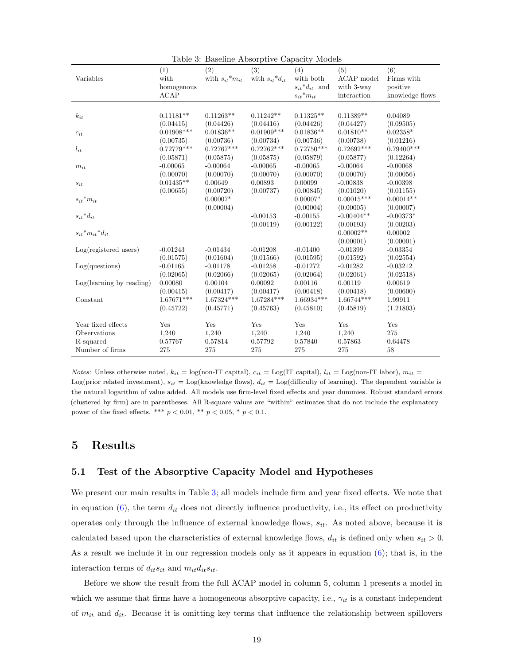| Variables                                                          | (1)<br>with<br>homogenous<br><b>ACAP</b>             | (2)<br>with $s_{it}$ <sup>*</sup> $m_{it}$           | (3)<br>with $s_{it} * d_{it}$                        | (4)<br>with both<br>$s_{it} * d_{it}$ and<br>$s_{it}$ * $m_{it}$ | (5)<br>ACAP model<br>with 3-way<br>interaction         | (6)<br>Firms with<br>positive<br>knowledge flows     |
|--------------------------------------------------------------------|------------------------------------------------------|------------------------------------------------------|------------------------------------------------------|------------------------------------------------------------------|--------------------------------------------------------|------------------------------------------------------|
| $k_{it}$<br>$c_{it}$                                               | $0.11181**$<br>(0.04415)<br>$0.01908***$             | $0.11263**$<br>(0.04426)<br>$0.01836**$              | $0.11242**$<br>(0.04416)<br>$0.01909***$             | $0.11325**$<br>(0.04426)<br>$0.01836**$                          | $0.11389**$<br>(0.04427)<br>$0.01810**$                | 0.04089<br>(0.09505)<br>$0.02358*$                   |
| $l_{it}$<br>$m_{it}$                                               | (0.00735)<br>$0.72779***$<br>(0.05871)<br>$-0.00065$ | (0.00736)<br>$0.72767***$<br>(0.05875)<br>$-0.00064$ | (0.00734)<br>$0.72762***$<br>(0.05875)<br>$-0.00065$ | (0.00736)<br>$0.72750***$<br>(0.05879)<br>$-0.00065$             | (0.00738)<br>$0.72692***$<br>(0.05877)<br>$-0.00064$   | (0.01216)<br>$0.79400***$<br>(0.12264)<br>$-0.00068$ |
| $\sqrt{s_{it}}$                                                    | (0.00070)<br>$0.01435**$<br>(0.00655)                | (0.00070)<br>0.00649<br>(0.00720)                    | (0.00070)<br>0.00893<br>(0.00737)                    | (0.00070)<br>0.00099<br>(0.00845)                                | (0.00070)<br>$-0.00838$<br>(0.01020)                   | (0.00056)<br>$-0.00398$<br>(0.01155)                 |
| ${s_{it}}^\ast m_{it}$<br>$s_{it} * d_{it}$                        |                                                      | $0.00007*$<br>(0.00004)                              | $-0.00153$<br>(0.00119)                              | $0.00007*$<br>(0.00004)<br>$-0.00155$<br>(0.00122)               | $0.00015***$<br>(0.00005)<br>$-0.00404**$<br>(0.00193) | $0.00014**$<br>(0.00007)<br>$-0.00373*$<br>(0.00203) |
| $s_{it}$ * $m_{it}$ * $d_{it}$<br>$Log(registered$ users)          | $-0.01243$                                           | $-0.01434$                                           | $-0.01208$                                           | $-0.01400$                                                       | $0.00002**$<br>(0.00001)<br>$-0.01399$                 | 0.00002<br>(0.00001)<br>$-0.03354$                   |
| Log(questions)                                                     | (0.01575)<br>$-0.01165$<br>(0.02065)                 | (0.01604)<br>$-0.01178$<br>(0.02066)                 | (0.01566)<br>$-0.01258$<br>(0.02065)                 | (0.01595)<br>$-0.01272$<br>(0.02064)                             | (0.01592)<br>$-0.01282$<br>(0.02061)                   | (0.02554)<br>$-0.03212$<br>(0.02518)                 |
| Log(learning by reading)<br>Constant                               | 0.00080<br>(0.00415)<br>1.67671***                   | 0.00104<br>(0.00417)<br>$1.67324***$                 | 0.00092<br>(0.00417)<br>1.67284***                   | 0.00116<br>(0.00418)<br>$1.66934***$                             | 0.00119<br>(0.00418)<br>$1.66744***$                   | 0.00619<br>(0.00600)<br>1.99911                      |
| Year fixed effects<br>Observations<br>R-squared<br>Number of firms | (0.45722)<br>Yes<br>1,240<br>0.57767<br>275          | (0.45771)<br>Yes<br>1,240<br>0.57814<br>275          | (0.45763)<br>Yes<br>1,240<br>0.57792<br>275          | (0.45810)<br>Yes<br>1,240<br>0.57840<br>275                      | (0.45819)<br>Yes<br>1,240<br>0.57863<br>275            | (1.21803)<br>Yes<br>275<br>0.64478<br>58             |

<span id="page-18-0"></span>Table 3: Baseline Absorptive Capacity Models

Notes: Unless otherwise noted,  $k_{it} = \log(\text{non-IT capital})$ ,  $c_{it} = \text{Log(IT capital)}$ ,  $l_{it} = \text{Log}(\text{non-IT labor})$ ,  $m_{it} =$ Log(prior related investment),  $s_{it} =$  Log(knowledge flows),  $d_{it} =$  Log(difficulty of learning). The dependent variable is the natural logarithm of value added. All models use firm-level fixed effects and year dummies. Robust standard errors (clustered by firm) are in parentheses. All R-square values are "within" estimates that do not include the explanatory power of the fixed effects. \*\*\*  $p < 0.01$ , \*\*  $p < 0.05$ , \*  $p < 0.1$ .

# 5 Results

## 5.1 Test of the Absorptive Capacity Model and Hypotheses

We present our main results in Table [3;](#page-18-0) all models include firm and year fixed effects. We note that in equation [\(6\)](#page-10-0), the term  $d_{it}$  does not directly influence productivity, i.e., its effect on productivity operates only through the influence of external knowledge flows,  $s_{it}$ . As noted above, because it is calculated based upon the characteristics of external knowledge flows,  $d_{it}$  is defined only when  $s_{it} > 0$ . As a result we include it in our regression models only as it appears in equation [\(6\)](#page-10-0); that is, in the interaction terms of  $d_{it} s_{it}$  and  $m_{it} d_{it} s_{it}$ .

Before we show the result from the full ACAP model in column 5, column 1 presents a model in which we assume that firms have a homogeneous absorptive capacity, i.e.,  $\gamma_{it}$  is a constant independent of  $m_{it}$  and  $d_{it}$ . Because it is omitting key terms that influence the relationship between spillovers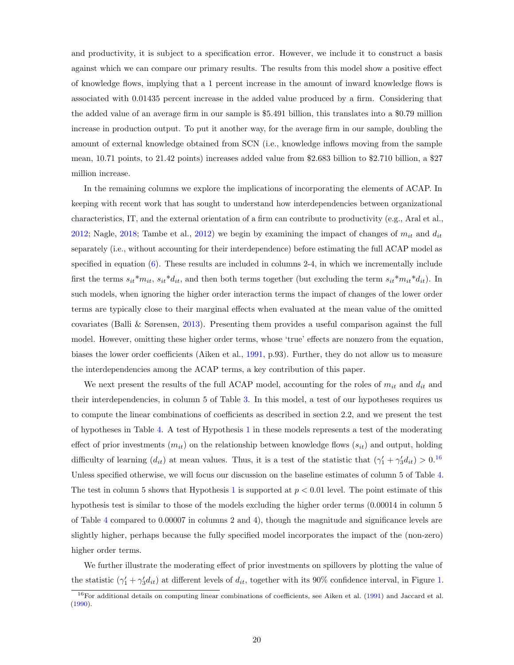and productivity, it is subject to a specification error. However, we include it to construct a basis against which we can compare our primary results. The results from this model show a positive effect of knowledge flows, implying that a 1 percent increase in the amount of inward knowledge flows is associated with 0.01435 percent increase in the added value produced by a firm. Considering that the added value of an average firm in our sample is \$5.491 billion, this translates into a \$0.79 million increase in production output. To put it another way, for the average firm in our sample, doubling the amount of external knowledge obtained from SCN (i.e., knowledge inflows moving from the sample mean, 10.71 points, to 21.42 points) increases added value from \$2.683 billion to \$2.710 billion, a \$27 million increase.

In the remaining columns we explore the implications of incorporating the elements of ACAP. In keeping with recent work that has sought to understand how interdependencies between organizational characteristics, IT, and the external orientation of a firm can contribute to productivity (e.g., Aral et al., [2012;](#page-32-6) Nagle, [2018;](#page-36-9) Tambe et al., [2012\)](#page-36-11) we begin by examining the impact of changes of  $m_{it}$  and  $d_{it}$ separately (i.e., without accounting for their interdependence) before estimating the full ACAP model as specified in equation [\(6\)](#page-10-0). These results are included in columns 2-4, in which we incrementally include first the terms  $s_{it} * m_{it}$ ,  $s_{it} * d_{it}$ , and then both terms together (but excluding the term  $s_{it} * m_{it} * d_{it}$ ). In such models, when ignoring the higher order interaction terms the impact of changes of the lower order terms are typically close to their marginal effects when evaluated at the mean value of the omitted covariates (Balli & Sørensen, [2013\)](#page-32-7). Presenting them provides a useful comparison against the full model. However, omitting these higher order terms, whose 'true' effects are nonzero from the equation, biases the lower order coefficients (Aiken et al., [1991,](#page-32-8) p.93). Further, they do not allow us to measure the interdependencies among the ACAP terms, a key contribution of this paper.

We next present the results of the full ACAP model, accounting for the roles of  $m_{it}$  and  $d_{it}$  and their interdependencies, in column 5 of Table [3.](#page-18-0) In this model, a test of our hypotheses requires us to compute the linear combinations of coefficients as described in section 2.2, and we present the test of hypotheses in Table [4.](#page-20-0) A test of Hypothesis [1](#page-6-1) in these models represents a test of the moderating effect of prior investments  $(m_{it})$  on the relationship between knowledge flows  $(s_{it})$  and output, holding difficulty of learning  $(d_{it})$  at mean values. Thus, it is a test of the statistic that  $(\gamma_1' + \gamma_3' d_{it}) > 0$ .<sup>[16](#page-19-0)</sup> Unless specified otherwise, we will focus our discussion on the baseline estimates of column 5 of Table [4.](#page-20-0) The test in column 5 shows that Hypothesis [1](#page-6-1) is supported at  $p < 0.01$  level. The point estimate of this hypothesis test is similar to those of the models excluding the higher order terms (0.00014 in column 5 of Table [4](#page-20-0) compared to 0.00007 in columns 2 and 4), though the magnitude and significance levels are slightly higher, perhaps because the fully specified model incorporates the impact of the (non-zero) higher order terms.

We further illustrate the moderating effect of prior investments on spillovers by plotting the value of the statistic  $(\gamma_1' + \gamma_3' d_{it})$  at different levels of  $d_{it}$ , together with its 90% confidence interval, in Figure [1.](#page-20-1)

<span id="page-19-0"></span><sup>&</sup>lt;sup>16</sup>For additional details on computing linear combinations of coefficients, see Aiken et al. [\(1991\)](#page-32-8) and Jaccard et al. [\(1990\)](#page-35-12).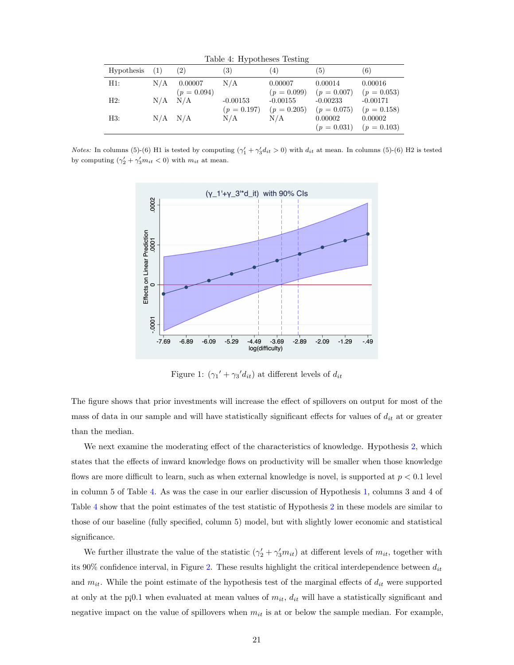<span id="page-20-0"></span>Table 4: Hypotheses Testing

|            |     |               | $\mathbf{v}$ + |               |               |               |
|------------|-----|---------------|----------------|---------------|---------------|---------------|
| Hypothesis | (1) | (2)           | 3)             | $^{(4)}$      | (5)           | (6)           |
| H1:        | N/A | 0.00007       | N/A            | 0.00007       | 0.00014       | 0.00016       |
|            |     | $(p = 0.094)$ |                | $(p = 0.099)$ | $(p = 0.007)$ | $(p = 0.053)$ |
| H2:        |     | $N/A$ $N/A$   | $-0.00153$     | $-0.00155$    | $-0.00233$    | $-0.00171$    |
|            |     |               | $(p = 0.197)$  | $(p = 0.205)$ | $(p = 0.075)$ | $(p = 0.158)$ |
| H3:        |     | $N/A$ $N/A$   | N/A            | N/A           | 0.00002       | 0.00002       |
|            |     |               |                |               | $(p = 0.031)$ | $(p = 0.103)$ |

*Notes:* In columns (5)-(6) H1 is tested by computing  $(\gamma_1' + \gamma_3' d_{it} > 0)$  with  $d_{it}$  at mean. In columns (5)-(6) H2 is tested by computing  $(\gamma_2' + \gamma_3' m_{it} < 0)$  with  $m_{it}$  at mean.



<span id="page-20-1"></span>Figure 1:  $(\gamma_1' + \gamma_3' d_{it})$  at different levels of  $d_{it}$ 

The figure shows that prior investments will increase the effect of spillovers on output for most of the mass of data in our sample and will have statistically significant effects for values of  $d_{it}$  at or greater than the median.

We next examine the moderating effect of the characteristics of knowledge. Hypothesis [2,](#page-7-1) which states that the effects of inward knowledge flows on productivity will be smaller when those knowledge flows are more difficult to learn, such as when external knowledge is novel, is supported at  $p < 0.1$  level in column 5 of Table [4.](#page-20-0) As was the case in our earlier discussion of Hypothesis [1,](#page-6-1) columns 3 and 4 of Table [4](#page-20-0) show that the point estimates of the test statistic of Hypothesis [2](#page-7-1) in these models are similar to those of our baseline (fully specified, column 5) model, but with slightly lower economic and statistical significance.

We further illustrate the value of the statistic  $(\gamma'_2 + \gamma'_3 m_{it})$  at different levels of  $m_{it}$ , together with its 90% confidence interval, in Figure [2.](#page-21-0) These results highlight the critical interdependence between  $d_{it}$ and  $m_{it}$ . While the point estimate of the hypothesis test of the marginal effects of  $d_{it}$  were supported at only at the p¡0.1 when evaluated at mean values of  $m_{it}$ ,  $d_{it}$  will have a statistically significant and negative impact on the value of spillovers when  $m_{it}$  is at or below the sample median. For example,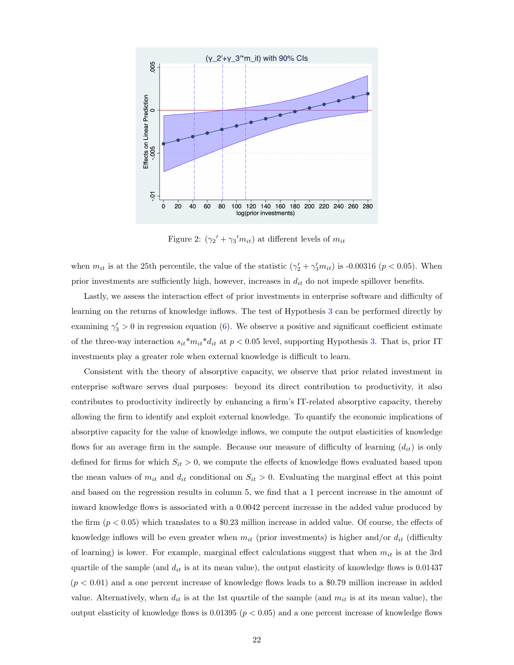

<span id="page-21-0"></span>Figure 2:  $(\gamma_2' + \gamma_3' m_{it})$  at different levels of  $m_{it}$ 

when  $m_{it}$  is at the 25th percentile, the value of the statistic  $(\gamma'_2 + \gamma'_3 m_{it})$  is -0.00316 ( $p < 0.05$ ). When prior investments are sufficiently high, however, increases in  $d_{it}$  do not impede spillover benefits.

Lastly, we assess the interaction effect of prior investments in enterprise software and difficulty of learning on the returns of knowledge inflows. The test of Hypothesis [3](#page-8-0) can be performed directly by examining  $\gamma'_3 > 0$  in regression equation [\(6\)](#page-10-0). We observe a positive and significant coefficient estimate of the three-way interaction  $s_{it}^{*}m_{it}^{*}d_{it}$  at  $p < 0.05$  level, supporting Hypothesis [3.](#page-8-0) That is, prior IT investments play a greater role when external knowledge is difficult to learn.

Consistent with the theory of absorptive capacity, we observe that prior related investment in enterprise software serves dual purposes: beyond its direct contribution to productivity, it also contributes to productivity indirectly by enhancing a firm's IT-related absorptive capacity, thereby allowing the firm to identify and exploit external knowledge. To quantify the economic implications of absorptive capacity for the value of knowledge inflows, we compute the output elasticities of knowledge flows for an average firm in the sample. Because our measure of difficulty of learning  $(d_{it})$  is only defined for firms for which  $S_{it} > 0$ , we compute the effects of knowledge flows evaluated based upon the mean values of  $m_{it}$  and  $d_{it}$  conditional on  $S_{it} > 0$ . Evaluating the marginal effect at this point and based on the regression results in column 5, we find that a 1 percent increase in the amount of inward knowledge flows is associated with a 0.0042 percent increase in the added value produced by the firm  $(p < 0.05)$  which translates to a \$0.23 million increase in added value. Of course, the effects of knowledge inflows will be even greater when  $m_{it}$  (prior investments) is higher and/or  $d_{it}$  (difficulty of learning) is lower. For example, marginal effect calculations suggest that when  $m_{it}$  is at the 3rd quartile of the sample (and  $d_{it}$  is at its mean value), the output elasticity of knowledge flows is 0.01437  $(p < 0.01)$  and a one percent increase of knowledge flows leads to a \$0.79 million increase in added value. Alternatively, when  $d_{it}$  is at the 1st quartile of the sample (and  $m_{it}$  is at its mean value), the output elasticity of knowledge flows is 0.01395 ( $p < 0.05$ ) and a one percent increase of knowledge flows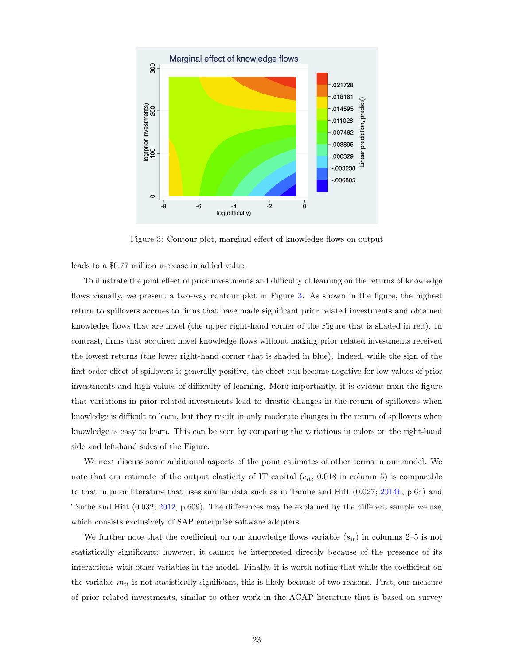

<span id="page-22-0"></span>Figure 3: Contour plot, marginal effect of knowledge flows on output

leads to a \$0.77 million increase in added value.

To illustrate the joint effect of prior investments and difficulty of learning on the returns of knowledge flows visually, we present a two-way contour plot in Figure [3.](#page-22-0) As shown in the figure, the highest return to spillovers accrues to firms that have made significant prior related investments and obtained knowledge flows that are novel (the upper right-hand corner of the Figure that is shaded in red). In contrast, firms that acquired novel knowledge flows without making prior related investments received the lowest returns (the lower right-hand corner that is shaded in blue). Indeed, while the sign of the first-order effect of spillovers is generally positive, the effect can become negative for low values of prior investments and high values of difficulty of learning. More importantly, it is evident from the figure that variations in prior related investments lead to drastic changes in the return of spillovers when knowledge is difficult to learn, but they result in only moderate changes in the return of spillovers when knowledge is easy to learn. This can be seen by comparing the variations in colors on the right-hand side and left-hand sides of the Figure.

We next discuss some additional aspects of the point estimates of other terms in our model. We note that our estimate of the output elasticity of IT capital  $(c_{it}, 0.018 \text{ in column 5})$  is comparable to that in prior literature that uses similar data such as in Tambe and Hitt  $(0.027; 2014b, p.64)$  $(0.027; 2014b, p.64)$  $(0.027; 2014b, p.64)$  and Tambe and Hitt (0.032; [2012,](#page-36-12) p.609). The differences may be explained by the different sample we use, which consists exclusively of SAP enterprise software adopters.

We further note that the coefficient on our knowledge flows variable  $(s_{it})$  in columns 2–5 is not statistically significant; however, it cannot be interpreted directly because of the presence of its interactions with other variables in the model. Finally, it is worth noting that while the coefficient on the variable  $m_{it}$  is not statistically significant, this is likely because of two reasons. First, our measure of prior related investments, similar to other work in the ACAP literature that is based on survey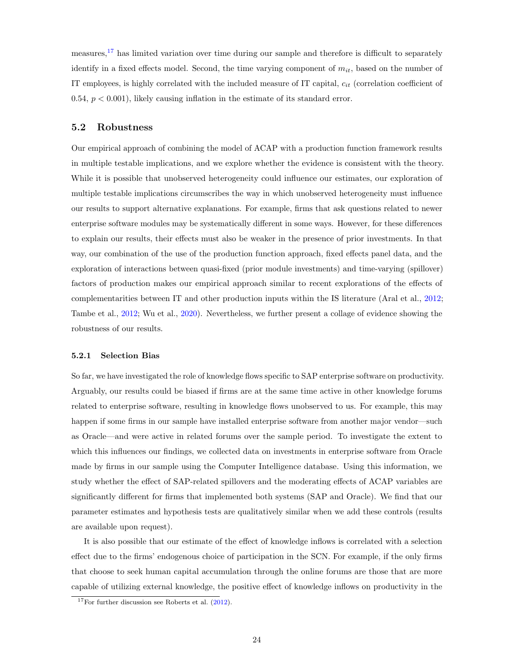measures,<sup>[17](#page-23-0)</sup> has limited variation over time during our sample and therefore is difficult to separately identify in a fixed effects model. Second, the time varying component of  $m_{it}$ , based on the number of IT employees, is highly correlated with the included measure of IT capital,  $c_{it}$  (correlation coefficient of 0.54,  $p < 0.001$ ), likely causing inflation in the estimate of its standard error.

## 5.2 Robustness

Our empirical approach of combining the model of ACAP with a production function framework results in multiple testable implications, and we explore whether the evidence is consistent with the theory. While it is possible that unobserved heterogeneity could influence our estimates, our exploration of multiple testable implications circumscribes the way in which unobserved heterogeneity must influence our results to support alternative explanations. For example, firms that ask questions related to newer enterprise software modules may be systematically different in some ways. However, for these differences to explain our results, their effects must also be weaker in the presence of prior investments. In that way, our combination of the use of the production function approach, fixed effects panel data, and the exploration of interactions between quasi-fixed (prior module investments) and time-varying (spillover) factors of production makes our empirical approach similar to recent explorations of the effects of complementarities between IT and other production inputs within the IS literature (Aral et al., [2012;](#page-32-6) Tambe et al., [2012;](#page-36-11) Wu et al., [2020\)](#page-37-3). Nevertheless, we further present a collage of evidence showing the robustness of our results.

#### 5.2.1 Selection Bias

So far, we have investigated the role of knowledge flows specific to SAP enterprise software on productivity. Arguably, our results could be biased if firms are at the same time active in other knowledge forums related to enterprise software, resulting in knowledge flows unobserved to us. For example, this may happen if some firms in our sample have installed enterprise software from another major vendor—such as Oracle—and were active in related forums over the sample period. To investigate the extent to which this influences our findings, we collected data on investments in enterprise software from Oracle made by firms in our sample using the Computer Intelligence database. Using this information, we study whether the effect of SAP-related spillovers and the moderating effects of ACAP variables are significantly different for firms that implemented both systems (SAP and Oracle). We find that our parameter estimates and hypothesis tests are qualitatively similar when we add these controls (results are available upon request).

It is also possible that our estimate of the effect of knowledge inflows is correlated with a selection effect due to the firms' endogenous choice of participation in the SCN. For example, if the only firms that choose to seek human capital accumulation through the online forums are those that are more capable of utilizing external knowledge, the positive effect of knowledge inflows on productivity in the

<span id="page-23-0"></span> $17$ For further discussion see Roberts et al.  $(2012)$ .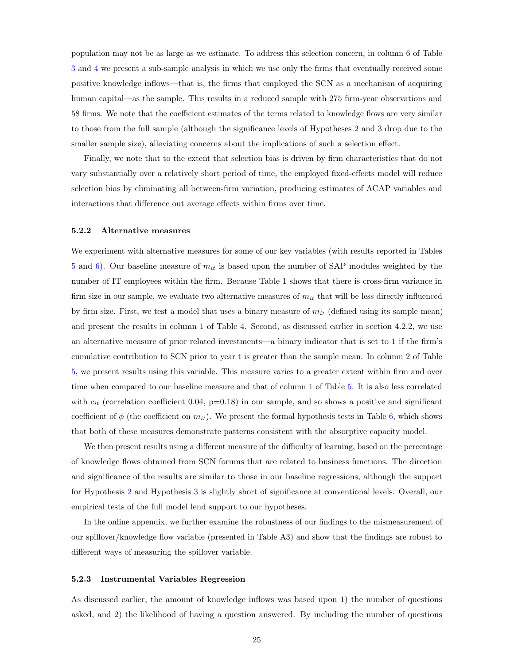population may not be as large as we estimate. To address this selection concern, in column 6 of Table [3](#page-18-0) and [4](#page-20-0) we present a sub-sample analysis in which we use only the firms that eventually received some positive knowledge inflows—that is, the firms that employed the SCN as a mechanism of acquiring human capital—as the sample. This results in a reduced sample with 275 firm-year observations and 58 firms. We note that the coefficient estimates of the terms related to knowledge flows are very similar to those from the full sample (although the significance levels of Hypotheses 2 and 3 drop due to the smaller sample size), alleviating concerns about the implications of such a selection effect.

Finally, we note that to the extent that selection bias is driven by firm characteristics that do not vary substantially over a relatively short period of time, the employed fixed-effects model will reduce selection bias by eliminating all between-firm variation, producing estimates of ACAP variables and interactions that difference out average effects within firms over time.

#### 5.2.2 Alternative measures

We experiment with alternative measures for some of our key variables (with results reported in Tables [5](#page-25-0) and [6\)](#page-25-1). Our baseline measure of  $m_{it}$  is based upon the number of SAP modules weighted by the number of IT employees within the firm. Because Table 1 shows that there is cross-firm variance in firm size in our sample, we evaluate two alternative measures of  $m_{it}$  that will be less directly influenced by firm size. First, we test a model that uses a binary measure of  $m_{it}$  (defined using its sample mean) and present the results in column 1 of Table 4. Second, as discussed earlier in section 4.2.2, we use an alternative measure of prior related investments—a binary indicator that is set to 1 if the firm's cumulative contribution to SCN prior to year t is greater than the sample mean. In column 2 of Table [5,](#page-25-0) we present results using this variable. This measure varies to a greater extent within firm and over time when compared to our baseline measure and that of column 1 of Table [5.](#page-25-0) It is also less correlated with  $c_{it}$  (correlation coefficient 0.04, p=0.18) in our sample, and so shows a positive and significant coefficient of  $\phi$  (the coefficient on  $m_{it}$ ). We present the formal hypothesis tests in Table [6,](#page-25-1) which shows that both of these measures demonstrate patterns consistent with the absorptive capacity model.

We then present results using a different measure of the difficulty of learning, based on the percentage of knowledge flows obtained from SCN forums that are related to business functions. The direction and significance of the results are similar to those in our baseline regressions, although the support for Hypothesis [2](#page-7-1) and Hypothesis [3](#page-8-0) is slightly short of significance at conventional levels. Overall, our empirical tests of the full model lend support to our hypotheses.

In the online appendix, we further examine the robustness of our findings to the mismeasurement of our spillover/knowledge flow variable (presented in Table A3) and show that the findings are robust to different ways of measuring the spillover variable.

#### 5.2.3 Instrumental Variables Regression

As discussed earlier, the amount of knowledge inflows was based upon 1) the number of questions asked, and 2) the likelihood of having a question answered. By including the number of questions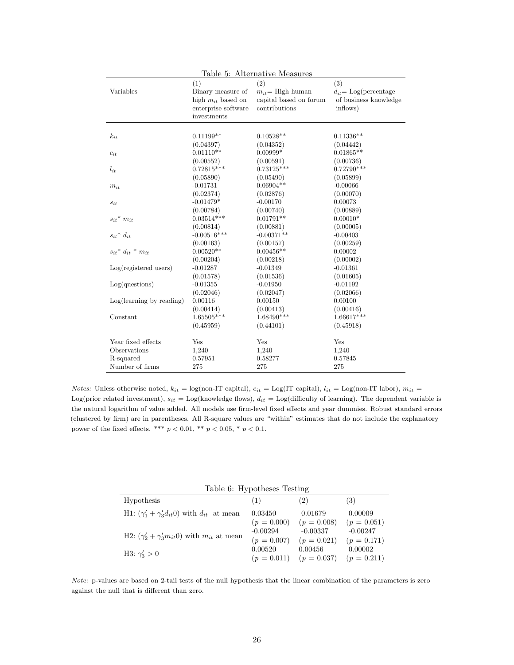|                                |                                    | Table 5: Alternative Measures           |                           |
|--------------------------------|------------------------------------|-----------------------------------------|---------------------------|
| Variables                      | (1)                                | (2)                                     | (3)                       |
|                                | Binary measure of                  | $m_{it}$ High human                     | $d_{it} =$ Log(percentage |
|                                | high $m_{it}$ based on             | capital based on forum<br>contributions | of business knowledge     |
|                                | enterprise software<br>investments |                                         | inflows)                  |
|                                |                                    |                                         |                           |
| $k_{it}$                       | $0.11199**$                        | $0.10528**$                             | $0.11336**$               |
|                                | (0.04397)                          | (0.04352)                               | (0.04442)                 |
| $c_{it}$                       | $0.01110**$                        | $0.00999*$                              | $0.01865**$               |
|                                | (0.00552)                          | (0.00591)                               | (0.00736)                 |
| $l_{it}$                       | $0.72815***$                       | $0.73125***$                            | $0.72790***$              |
|                                | (0.05890)                          | (0.05490)                               | (0.05899)                 |
| $m_{it}$                       | $-0.01731$                         | $0.06904**$                             | $-0.00066$                |
|                                | (0.02374)                          | (0.02876)                               | (0.00070)                 |
| $s_{it}$                       | $-0.01479*$                        | $-0.00170$                              | 0.00073                   |
|                                | (0.00784)                          | (0.00740)                               | (0.00889)                 |
| $s_{it}$ <sup>*</sup> $m_{it}$ | $0.03514***$                       | $0.01791**$                             | $0.00010*$                |
|                                | (0.00814)                          | (0.00881)                               | (0.00005)                 |
| $s_{it}$ <sup>*</sup> $d_{it}$ | $-0.00516***$                      | $-0.00371**$                            | $-0.00403$                |
|                                | (0.00163)                          | (0.00157)                               | (0.00259)                 |
| $s_{it} * d_{it} * m_{it}$     | $0.00520**$                        | $0.00456**$                             | 0.00002                   |
|                                | (0.00204)                          | (0.00218)                               | (0.00002)                 |
| Log(registered users)          | $-0.01287$                         | $-0.01349$                              | $-0.01361$                |
|                                | (0.01578)                          | (0.01536)                               | (0.01605)                 |
| Log( questions)                | $-0.01355$                         | $-0.01950$                              | $-0.01192$                |
|                                | (0.02046)                          | (0.02047)                               | (0.02066)                 |
| Log(learning by reading)       | 0.00116                            | 0.00150                                 | 0.00100                   |
|                                | (0.00414)                          | (0.00413)                               | (0.00416)                 |
| Constant                       | 1.65505***                         | $1.68490***$                            | $1.66617***$              |
|                                | (0.45959)                          | (0.44101)                               | (0.45918)                 |
|                                |                                    |                                         |                           |
| Year fixed effects             | Yes                                | Yes                                     | Yes                       |
| Observations                   | 1,240                              | 1,240                                   | 1,240                     |
| R-squared                      | 0.57951                            | 0.58277                                 | 0.57845                   |
| Number of firms                | 275                                | 275                                     | 275                       |

<span id="page-25-0"></span> $Table 5:$  Alternative M

Notes: Unless otherwise noted,  $k_{it} = \log(\text{non-IT capital})$ ,  $c_{it} = \log(\text{IT capital})$ ,  $l_{it} = \log(\text{non-IT labor})$ ,  $m_{it} =$ Log(prior related investment),  $s_{it} =$  Log(knowledge flows),  $d_{it} =$  Log(difficulty of learning). The dependent variable is the natural logarithm of value added. All models use firm-level fixed effects and year dummies. Robust standard errors (clustered by firm) are in parentheses. All R-square values are "within" estimates that do not include the explanatory power of the fixed effects. \*\*\*  $p < 0.01,$  \*\*  $p < 0.05,$  \*  $p < 0.1.$ 

<span id="page-25-1"></span>

| Table 6: Hypotheses Testing                                 |               |               |               |  |  |  |  |
|-------------------------------------------------------------|---------------|---------------|---------------|--|--|--|--|
| Hypothesis                                                  | (1)           | (2)           | (3)           |  |  |  |  |
| H1: $(\gamma_1' + \gamma_3' d_{it}0)$ with $d_{it}$ at mean | 0.03450       | 0.01679       | 0.00009       |  |  |  |  |
|                                                             | $(p = 0.000)$ | $(p = 0.008)$ | $(p = 0.051)$ |  |  |  |  |
| H2: $(\gamma'_2 + \gamma'_3 m_{it}0)$ with $m_{it}$ at mean | $-0.00294$    | $-0.00337$    | $-0.00247$    |  |  |  |  |
|                                                             | $(p = 0.007)$ | $(p = 0.021)$ | $(p = 0.171)$ |  |  |  |  |
| H3: $\gamma'_3 > 0$                                         | 0.00520       | 0.00456       | 0.00002       |  |  |  |  |
|                                                             | $(p = 0.011)$ | $(p = 0.037)$ | $(p = 0.211)$ |  |  |  |  |

Note: p-values are based on 2-tail tests of the null hypothesis that the linear combination of the parameters is zero against the null that is different than zero.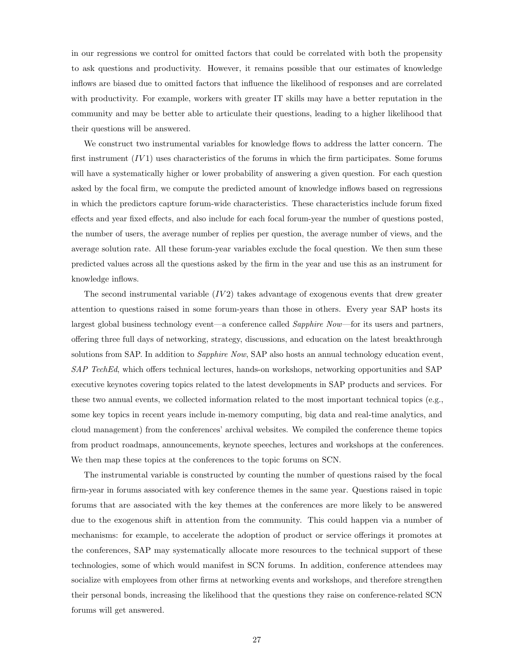in our regressions we control for omitted factors that could be correlated with both the propensity to ask questions and productivity. However, it remains possible that our estimates of knowledge inflows are biased due to omitted factors that influence the likelihood of responses and are correlated with productivity. For example, workers with greater IT skills may have a better reputation in the community and may be better able to articulate their questions, leading to a higher likelihood that their questions will be answered.

We construct two instrumental variables for knowledge flows to address the latter concern. The first instrument  $(IV1)$  uses characteristics of the forums in which the firm participates. Some forums will have a systematically higher or lower probability of answering a given question. For each question asked by the focal firm, we compute the predicted amount of knowledge inflows based on regressions in which the predictors capture forum-wide characteristics. These characteristics include forum fixed effects and year fixed effects, and also include for each focal forum-year the number of questions posted, the number of users, the average number of replies per question, the average number of views, and the average solution rate. All these forum-year variables exclude the focal question. We then sum these predicted values across all the questions asked by the firm in the year and use this as an instrument for knowledge inflows.

The second instrumental variable  $(IV2)$  takes advantage of exogenous events that drew greater attention to questions raised in some forum-years than those in others. Every year SAP hosts its largest global business technology event—a conference called Sapphire Now—for its users and partners, offering three full days of networking, strategy, discussions, and education on the latest breakthrough solutions from SAP. In addition to Sapphire Now, SAP also hosts an annual technology education event, SAP TechEd, which offers technical lectures, hands-on workshops, networking opportunities and SAP executive keynotes covering topics related to the latest developments in SAP products and services. For these two annual events, we collected information related to the most important technical topics (e.g., some key topics in recent years include in-memory computing, big data and real-time analytics, and cloud management) from the conferences' archival websites. We compiled the conference theme topics from product roadmaps, announcements, keynote speeches, lectures and workshops at the conferences. We then map these topics at the conferences to the topic forums on SCN.

The instrumental variable is constructed by counting the number of questions raised by the focal firm-year in forums associated with key conference themes in the same year. Questions raised in topic forums that are associated with the key themes at the conferences are more likely to be answered due to the exogenous shift in attention from the community. This could happen via a number of mechanisms: for example, to accelerate the adoption of product or service offerings it promotes at the conferences, SAP may systematically allocate more resources to the technical support of these technologies, some of which would manifest in SCN forums. In addition, conference attendees may socialize with employees from other firms at networking events and workshops, and therefore strengthen their personal bonds, increasing the likelihood that the questions they raise on conference-related SCN forums will get answered.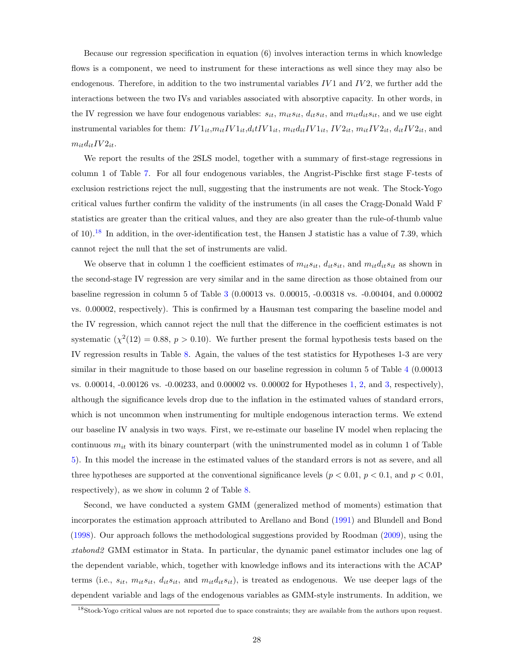Because our regression specification in equation (6) involves interaction terms in which knowledge flows is a component, we need to instrument for these interactions as well since they may also be endogenous. Therefore, in addition to the two instrumental variables  $IV1$  and  $IV2$ , we further add the interactions between the two IVs and variables associated with absorptive capacity. In other words, in the IV regression we have four endogenous variables:  $s_{it}$ ,  $m_{it} s_{it}$ ,  $d_{it} s_{it}$ , and  $m_{it} d_{it} s_{it}$ , and we use eight instrumental variables for them:  $IV1_{it}$ , $m_{it}IV1_{it}$ , $d_{it}IV1_{it}$ ,  $m_{it}d_{it}IV1_{it}$ ,  $IV2_{it}$ ,  $m_{it}IV2_{it}$ ,  $d_{it}IV2_{it}$ , and  $m_{it}d_{it}IV2_{it}.$ 

We report the results of the 2SLS model, together with a summary of first-stage regressions in column 1 of Table [7.](#page-28-0) For all four endogenous variables, the Angrist-Pischke first stage F-tests of exclusion restrictions reject the null, suggesting that the instruments are not weak. The Stock-Yogo critical values further confirm the validity of the instruments (in all cases the Cragg-Donald Wald F statistics are greater than the critical values, and they are also greater than the rule-of-thumb value of  $10$ ).<sup>[18](#page-27-0)</sup> In addition, in the over-identification test, the Hansen J statistic has a value of 7.39, which cannot reject the null that the set of instruments are valid.

We observe that in column 1 the coefficient estimates of  $m_{it} s_{it}$ ,  $d_{it} s_{it}$ , and  $m_{it} d_{it} s_{it}$  as shown in the second-stage IV regression are very similar and in the same direction as those obtained from our baseline regression in column 5 of Table [3](#page-18-0) (0.00013 vs. 0.00015, -0.00318 vs. -0.00404, and 0.00002 vs. 0.00002, respectively). This is confirmed by a Hausman test comparing the baseline model and the IV regression, which cannot reject the null that the difference in the coefficient estimates is not systematic  $(\chi^2(12) = 0.88, p > 0.10)$ . We further present the formal hypothesis tests based on the IV regression results in Table [8.](#page-28-1) Again, the values of the test statistics for Hypotheses 1-3 are very similar in their magnitude to those based on our baseline regression in column 5 of Table [4](#page-20-0) (0.00013) vs. 0.00014, -0.00126 vs. -0.00233, and 0.00002 vs. 0.00002 for Hypotheses [1,](#page-6-1) [2,](#page-7-1) and [3,](#page-8-0) respectively), although the significance levels drop due to the inflation in the estimated values of standard errors, which is not uncommon when instrumenting for multiple endogenous interaction terms. We extend our baseline IV analysis in two ways. First, we re-estimate our baseline IV model when replacing the continuous  $m_{it}$  with its binary counterpart (with the uninstrumented model as in column 1 of Table [5\)](#page-25-0). In this model the increase in the estimated values of the standard errors is not as severe, and all three hypotheses are supported at the conventional significance levels ( $p < 0.01$ ,  $p < 0.1$ , and  $p < 0.01$ , respectively), as we show in column 2 of Table [8.](#page-28-1)

Second, we have conducted a system GMM (generalized method of moments) estimation that incorporates the estimation approach attributed to Arellano and Bond [\(1991\)](#page-32-9) and Blundell and Bond [\(1998\)](#page-33-16). Our approach follows the methodological suggestions provided by Roodman [\(2009\)](#page-36-13), using the xtabond2 GMM estimator in Stata. In particular, the dynamic panel estimator includes one lag of the dependent variable, which, together with knowledge inflows and its interactions with the ACAP terms (i.e.,  $s_{it}$ ,  $m_{it}s_{it}$ ,  $d_{it}s_{it}$ , and  $m_{it}d_{it}s_{it}$ ), is treated as endogenous. We use deeper lags of the dependent variable and lags of the endogenous variables as GMM-style instruments. In addition, we

<span id="page-27-0"></span><sup>18</sup>Stock-Yogo critical values are not reported due to space constraints; they are available from the authors upon request.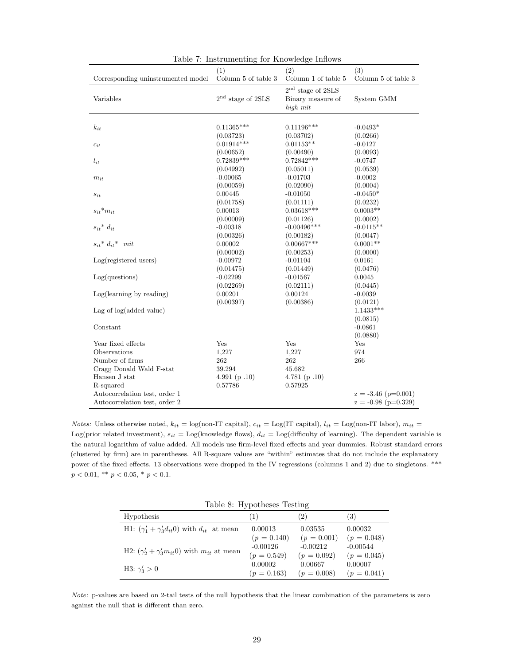| Corresponding uninstrumented model                | (1)<br>Column 5 of table $3$ | (2)<br>Column 1 of table $5\,$                         | (3)<br>Column 5 of table $3$ |
|---------------------------------------------------|------------------------------|--------------------------------------------------------|------------------------------|
|                                                   |                              |                                                        |                              |
| Variables                                         | $2nd$ stage of 2SLS          | $2nd$ stage of $2SLS$<br>Binary measure of<br>high mit | System GMM                   |
|                                                   |                              |                                                        |                              |
| $k_{it}$                                          | $0.11365***$                 | $0.11196***$                                           | $-0.0493*$                   |
|                                                   | (0.03723)                    | (0.03702)                                              | (0.0266)                     |
| $c_{it}$                                          | $0.01914***$                 | $0.01153**$                                            | $-0.0127$                    |
|                                                   | (0.00652)                    | (0.00490)                                              | (0.0093)                     |
| $l_{it}$                                          | $0.72839***$                 | $0.72842***$                                           | $-0.0747$                    |
|                                                   | (0.04992)                    | (0.05011)                                              | (0.0539)                     |
| $m_{it}$                                          | $-0.00065$                   | $-0.01703$                                             | $-0.0002$                    |
|                                                   | (0.00059)                    | (0.02090)                                              | (0.0004)                     |
| $s_{it}$                                          | 0.00445                      | $-0.01050$                                             | $-0.0450*$                   |
|                                                   | (0.01758)                    | (0.01111)                                              | (0.0232)                     |
| $s_{it}$ * $m_{it}$                               | 0.00013                      | $0.03618***$                                           | $0.0003**$                   |
|                                                   | (0.00009)                    | (0.01126)                                              | (0.0002)                     |
| $s_{it}$ <sup>*</sup> $d_{it}$                    | $-0.00318$                   | $-0.00496***$                                          | $-0.0115**$                  |
|                                                   | (0.00326)                    | (0.00182)                                              | (0.0047)                     |
| $s_{it}$ <sup>*</sup> $d_{it}$ <sup>*</sup> $mit$ | 0.00002                      | $0.00667***$                                           | $0.0001**$                   |
|                                                   | (0.00002)                    | (0.00253)                                              | (0.0000)                     |
| $Log(registered$ users)                           | $-0.00972$                   | $-0.01104$                                             | 0.0161                       |
|                                                   | (0.01475)                    | (0.01449)                                              | (0.0476)                     |
| Log( questions)                                   | $-0.02299$                   | $-0.01567$                                             | 0.0045                       |
|                                                   | (0.02269)                    | (0.02111)                                              | (0.0445)                     |
| Log(learning by reading)                          | 0.00201                      | 0.00124                                                | $-0.0039$                    |
|                                                   | (0.00397)                    | (0.00386)                                              | (0.0121)                     |
| Lag of $log(added value)$                         |                              |                                                        | $1.1433***$                  |
|                                                   |                              |                                                        | (0.0815)                     |
| Constant                                          |                              |                                                        | $-0.0861$                    |
|                                                   |                              |                                                        | (0.0880)                     |
| Year fixed effects                                | Yes                          | Yes                                                    | Yes                          |
| Observations                                      | 1,227                        | 1,227                                                  | 974                          |
| Number of firms                                   | 262                          | 262                                                    | 266                          |
| Cragg Donald Wald F-stat                          | 39.294                       | 45.682                                                 |                              |
| Hansen J stat                                     | 4.991 (p.10)                 | 4.781 $(p.10)$                                         |                              |
| R-squared                                         | 0.57786                      | 0.57925                                                |                              |
| Autocorrelation test, order 1                     |                              |                                                        | $z = -3.46$ (p=0.001)        |
| Autocorrelation test, order 2                     |                              |                                                        | $z = -0.98$ (p=0.329)        |

<span id="page-28-0"></span>Table 7: Instrumenting for Knowledge Inflows

Notes: Unless otherwise noted,  $k_{it} = \log(\text{non-IT capital})$ ,  $c_{it} = \text{Log(IT capital)}$ ,  $l_{it} = \text{Log}(\text{non-IT labor})$ ,  $m_{it} =$ Log(prior related investment),  $s_{it} =$  Log(knowledge flows),  $d_{it} =$  Log(difficulty of learning). The dependent variable is the natural logarithm of value added. All models use firm-level fixed effects and year dummies. Robust standard errors (clustered by firm) are in parentheses. All R-square values are "within" estimates that do not include the explanatory power of the fixed effects. 13 observations were dropped in the IV regressions (columns 1 and 2) due to singletons. \*\*\*  $p < 0.01,\, ^{\ast\ast}$   $p < 0.05,\, ^{\ast}$   $p < 0.1.$ 

<span id="page-28-1"></span>Table 8: Hypotheses Testing

|                                                             | . .           |               |               |
|-------------------------------------------------------------|---------------|---------------|---------------|
| Hypothesis                                                  | (1)           | (2)           | (3)           |
| H1: $(\gamma_1' + \gamma_3' d_{it}0)$ with $d_{it}$ at mean | 0.00013       | 0.03535       | 0.00032       |
|                                                             | $(p = 0.140)$ | $(p = 0.001)$ | $(p = 0.048)$ |
| H2: $(\gamma'_2 + \gamma'_3 m_{it}0)$ with $m_{it}$ at mean | $-0.00126$    | $-0.00212$    | $-0.00544$    |
|                                                             | $(p = 0.549)$ | $(p = 0.092)$ | $(p = 0.045)$ |
| H3: $\gamma'_3 > 0$                                         | 0.00002       | 0.00667       | 0.00007       |
|                                                             | $(p = 0.163)$ | $(p = 0.008)$ | $(p = 0.041)$ |

Note: p-values are based on 2-tail tests of the null hypothesis that the linear combination of the parameters is zero against the null that is different than zero.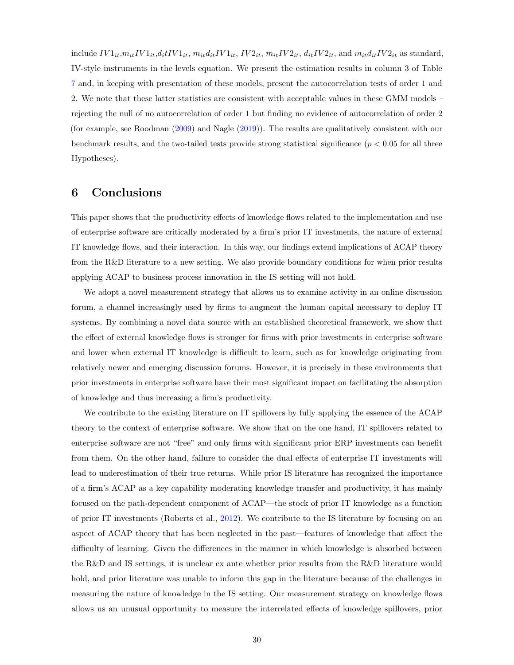include  $IV1_{it},m_{it}IV1_{it},d_{it}IV1_{it}, m_{it}d_{it}IV1_{it}, IV2_{it}, m_{it}IV2_{it}, d_{it}IV2_{it},$  and  $m_{it}d_{it}IV2_{it}$  as standard, IV-style instruments in the levels equation. We present the estimation results in column 3 of Table [7](#page-28-0) and, in keeping with presentation of these models, present the autocorrelation tests of order 1 and 2. We note that these latter statistics are consistent with acceptable values in these GMM models – rejecting the null of no autocorrelation of order 1 but finding no evidence of autocorrelation of order 2 (for example, see Roodman [\(2009\)](#page-36-13) and Nagle [\(2019\)](#page-36-7)). The results are qualitatively consistent with our benchmark results, and the two-tailed tests provide strong statistical significance ( $p < 0.05$  for all three Hypotheses).

# 6 Conclusions

This paper shows that the productivity effects of knowledge flows related to the implementation and use of enterprise software are critically moderated by a firm's prior IT investments, the nature of external IT knowledge flows, and their interaction. In this way, our findings extend implications of ACAP theory from the R&D literature to a new setting. We also provide boundary conditions for when prior results applying ACAP to business process innovation in the IS setting will not hold.

We adopt a novel measurement strategy that allows us to examine activity in an online discussion forum, a channel increasingly used by firms to augment the human capital necessary to deploy IT systems. By combining a novel data source with an established theoretical framework, we show that the effect of external knowledge flows is stronger for firms with prior investments in enterprise software and lower when external IT knowledge is difficult to learn, such as for knowledge originating from relatively newer and emerging discussion forums. However, it is precisely in these environments that prior investments in enterprise software have their most significant impact on facilitating the absorption of knowledge and thus increasing a firm's productivity.

We contribute to the existing literature on IT spillovers by fully applying the essence of the ACAP theory to the context of enterprise software. We show that on the one hand, IT spillovers related to enterprise software are not "free" and only firms with significant prior ERP investments can benefit from them. On the other hand, failure to consider the dual effects of enterprise IT investments will lead to underestimation of their true returns. While prior IS literature has recognized the importance of a firm's ACAP as a key capability moderating knowledge transfer and productivity, it has mainly focused on the path-dependent component of ACAP—the stock of prior IT knowledge as a function of prior IT investments (Roberts et al., [2012\)](#page-36-2). We contribute to the IS literature by focusing on an aspect of ACAP theory that has been neglected in the past—features of knowledge that affect the difficulty of learning. Given the differences in the manner in which knowledge is absorbed between the R&D and IS settings, it is unclear ex ante whether prior results from the R&D literature would hold, and prior literature was unable to inform this gap in the literature because of the challenges in measuring the nature of knowledge in the IS setting. Our measurement strategy on knowledge flows allows us an unusual opportunity to measure the interrelated effects of knowledge spillovers, prior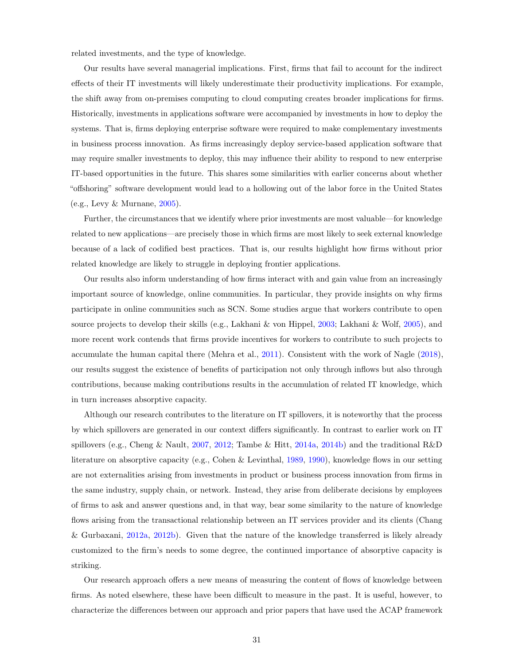related investments, and the type of knowledge.

Our results have several managerial implications. First, firms that fail to account for the indirect effects of their IT investments will likely underestimate their productivity implications. For example, the shift away from on-premises computing to cloud computing creates broader implications for firms. Historically, investments in applications software were accompanied by investments in how to deploy the systems. That is, firms deploying enterprise software were required to make complementary investments in business process innovation. As firms increasingly deploy service-based application software that may require smaller investments to deploy, this may influence their ability to respond to new enterprise IT-based opportunities in the future. This shares some similarities with earlier concerns about whether "offshoring" software development would lead to a hollowing out of the labor force in the United States (e.g., Levy & Murnane, [2005\)](#page-35-13).

Further, the circumstances that we identify where prior investments are most valuable—for knowledge related to new applications—are precisely those in which firms are most likely to seek external knowledge because of a lack of codified best practices. That is, our results highlight how firms without prior related knowledge are likely to struggle in deploying frontier applications.

Our results also inform understanding of how firms interact with and gain value from an increasingly important source of knowledge, online communities. In particular, they provide insights on why firms participate in online communities such as SCN. Some studies argue that workers contribute to open source projects to develop their skills (e.g., Lakhani & von Hippel, [2003;](#page-35-3) Lakhani & Wolf, [2005\)](#page-35-14), and more recent work contends that firms provide incentives for workers to contribute to such projects to accumulate the human capital there (Mehra et al., [2011\)](#page-35-9). Consistent with the work of Nagle [\(2018\)](#page-36-9), our results suggest the existence of benefits of participation not only through inflows but also through contributions, because making contributions results in the accumulation of related IT knowledge, which in turn increases absorptive capacity.

Although our research contributes to the literature on IT spillovers, it is noteworthy that the process by which spillovers are generated in our context differs significantly. In contrast to earlier work on IT spillovers (e.g., Cheng & Nault, [2007,](#page-33-8) [2012;](#page-34-3) Tambe & Hitt, [2014a,](#page-36-0) [2014b\)](#page-36-8) and the traditional R&D literature on absorptive capacity (e.g., Cohen & Levinthal, [1989,](#page-34-0) [1990\)](#page-34-1), knowledge flows in our setting are not externalities arising from investments in product or business process innovation from firms in the same industry, supply chain, or network. Instead, they arise from deliberate decisions by employees of firms to ask and answer questions and, in that way, bear some similarity to the nature of knowledge flows arising from the transactional relationship between an IT services provider and its clients (Chang & Gurbaxani, [2012a,](#page-33-7) [2012b\)](#page-33-5). Given that the nature of the knowledge transferred is likely already customized to the firm's needs to some degree, the continued importance of absorptive capacity is striking.

Our research approach offers a new means of measuring the content of flows of knowledge between firms. As noted elsewhere, these have been difficult to measure in the past. It is useful, however, to characterize the differences between our approach and prior papers that have used the ACAP framework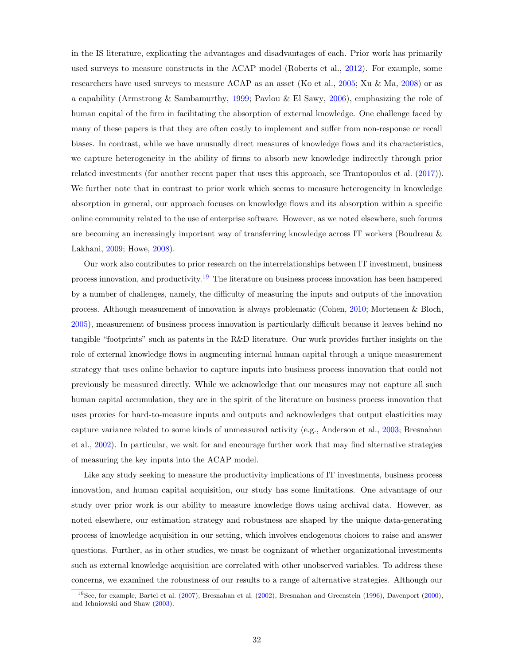in the IS literature, explicating the advantages and disadvantages of each. Prior work has primarily used surveys to measure constructs in the ACAP model (Roberts et al., [2012\)](#page-36-2). For example, some researchers have used surveys to measure ACAP as an asset (Ko et al., [2005;](#page-35-0) Xu & Ma, [2008\)](#page-37-4) or as a capability (Armstrong & Sambamurthy, [1999;](#page-32-10) Pavlou & El Sawy, [2006\)](#page-36-14), emphasizing the role of human capital of the firm in facilitating the absorption of external knowledge. One challenge faced by many of these papers is that they are often costly to implement and suffer from non-response or recall biases. In contrast, while we have unusually direct measures of knowledge flows and its characteristics, we capture heterogeneity in the ability of firms to absorb new knowledge indirectly through prior related investments (for another recent paper that uses this approach, see Trantopoulos et al. [\(2017\)](#page-36-15)). We further note that in contrast to prior work which seems to measure heterogeneity in knowledge absorption in general, our approach focuses on knowledge flows and its absorption within a specific online community related to the use of enterprise software. However, as we noted elsewhere, such forums are becoming an increasingly important way of transferring knowledge across IT workers (Boudreau & Lakhani, [2009;](#page-33-17) Howe, [2008\)](#page-35-15).

Our work also contributes to prior research on the interrelationships between IT investment, business process innovation, and productivity.[19](#page-31-0) The literature on business process innovation has been hampered by a number of challenges, namely, the difficulty of measuring the inputs and outputs of the innovation process. Although measurement of innovation is always problematic (Cohen, [2010;](#page-34-16) Mortensen & Bloch, [2005\)](#page-36-16), measurement of business process innovation is particularly difficult because it leaves behind no tangible "footprints" such as patents in the R&D literature. Our work provides further insights on the role of external knowledge flows in augmenting internal human capital through a unique measurement strategy that uses online behavior to capture inputs into business process innovation that could not previously be measured directly. While we acknowledge that our measures may not capture all such human capital accumulation, they are in the spirit of the literature on business process innovation that uses proxies for hard-to-measure inputs and outputs and acknowledges that output elasticities may capture variance related to some kinds of unmeasured activity (e.g., Anderson et al., [2003;](#page-32-11) Bresnahan et al., [2002\)](#page-33-2). In particular, we wait for and encourage further work that may find alternative strategies of measuring the key inputs into the ACAP model.

Like any study seeking to measure the productivity implications of IT investments, business process innovation, and human capital acquisition, our study has some limitations. One advantage of our study over prior work is our ability to measure knowledge flows using archival data. However, as noted elsewhere, our estimation strategy and robustness are shaped by the unique data-generating process of knowledge acquisition in our setting, which involves endogenous choices to raise and answer questions. Further, as in other studies, we must be cognizant of whether organizational investments such as external knowledge acquisition are correlated with other unobserved variables. To address these concerns, we examined the robustness of our results to a range of alternative strategies. Although our

<span id="page-31-0"></span><sup>19</sup>See, for example, Bartel et al. [\(2007\)](#page-33-4), Bresnahan et al. [\(2002\)](#page-33-2), Bresnahan and Greenstein [\(1996\)](#page-33-3), Davenport [\(2000\)](#page-34-9), and Ichniowski and Shaw [\(2003\)](#page-35-16).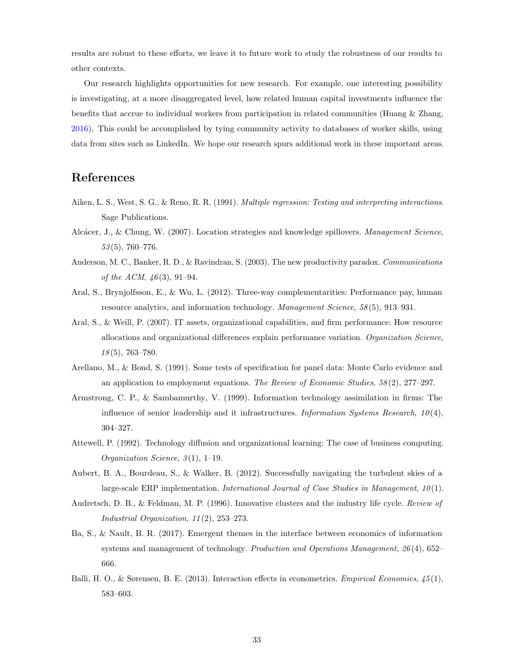results are robust to these efforts, we leave it to future work to study the robustness of our results to other contexts.

Our research highlights opportunities for new research. For example, one interesting possibility is investigating, at a more disaggregated level, how related human capital investments influence the benefits that accrue to individual workers from participation in related communities (Huang & Zhang, [2016\)](#page-35-17). This could be accomplished by tying community activity to databases of worker skills, using data from sites such as LinkedIn. We hope our research spurs additional work in these important areas.

# References

- <span id="page-32-8"></span>Aiken, L. S., West, S. G., & Reno, R. R. (1991). Multiple regression: Testing and interpreting interactions. Sage Publications.
- <span id="page-32-2"></span>Alcácer, J., & Chung, W. (2007). Location strategies and knowledge spillovers. Management Science, 53 (5), 760–776.
- <span id="page-32-11"></span>Anderson, M. C., Banker, R. D., & Ravindran, S. (2003). The new productivity paradox. Communications of the ACM,  $46(3)$ , 91-94.
- <span id="page-32-6"></span>Aral, S., Brynjolfsson, E., & Wu, L. (2012). Three-way complementarities: Performance pay, human resource analytics, and information technology. Management Science, 58 (5), 913–931.
- <span id="page-32-0"></span>Aral, S., & Weill, P. (2007). IT assets, organizational capabilities, and firm performance: How resource allocations and organizational differences explain performance variation. Organization Science, 18 (5), 763–780.
- <span id="page-32-9"></span>Arellano, M., & Bond, S. (1991). Some tests of specification for panel data: Monte Carlo evidence and an application to employment equations. The Review of Economic Studies,  $58(2)$ ,  $277-297$ .
- <span id="page-32-10"></span>Armstrong, C. P., & Sambamurthy, V. (1999). Information technology assimilation in firms: The influence of senior leadership and it infrastructures. Information Systems Research,  $10(4)$ , 304–327.
- <span id="page-32-3"></span>Attewell, P. (1992). Technology diffusion and organizational learning: The case of business computing. Organization Science,  $3(1)$ , 1–19.
- <span id="page-32-5"></span>Aubert, B. A., Bourdeau, S., & Walker, B. (2012). Successfully navigating the turbulent skies of a large-scale ERP implementation. International Journal of Case Studies in Management,  $10(1)$ .
- <span id="page-32-4"></span>Audretsch, D. B., & Feldman, M. P. (1996). Innovative clusters and the industry life cycle. Review of Industrial Organization, 11 (2), 253–273.
- <span id="page-32-1"></span>Ba, S., & Nault, B. R. (2017). Emergent themes in the interface between economics of information systems and management of technology. Production and Operations Management, 26(4), 652– 666.
- <span id="page-32-7"></span>Balli, H. O., & Sørensen, B. E. (2013). Interaction effects in econometrics. Empirical Economics, 45 (1), 583–603.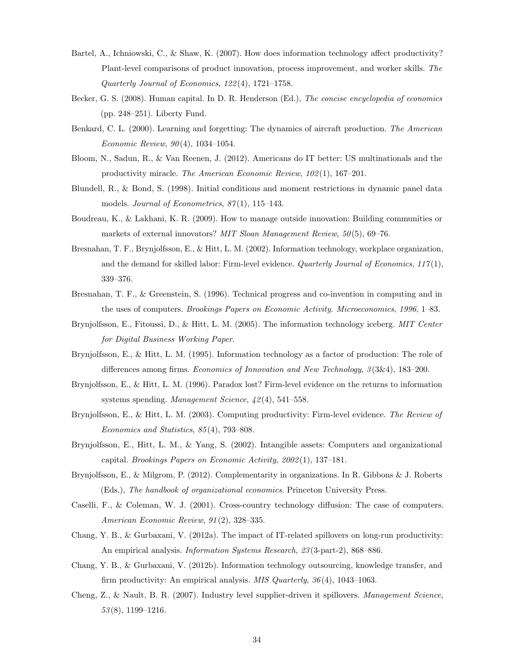- <span id="page-33-4"></span>Bartel, A., Ichniowski, C., & Shaw, K. (2007). How does information technology affect productivity? Plant-level comparisons of product innovation, process improvement, and worker skills. The Quarterly Journal of Economics, 122 (4), 1721–1758.
- <span id="page-33-10"></span>Becker, G. S. (2008). Human capital. In D. R. Henderson (Ed.), The concise encyclopedia of economics (pp. 248–251). Liberty Fund.
- <span id="page-33-11"></span>Benkard, C. L. (2000). Learning and forgetting: The dynamics of aircraft production. The American Economic Review, 90 (4), 1034–1054.
- <span id="page-33-1"></span>Bloom, N., Sadun, R., & Van Reenen, J. (2012). Americans do IT better: US multinationals and the productivity miracle. The American Economic Review, 102 (1), 167–201.
- <span id="page-33-16"></span>Blundell, R., & Bond, S. (1998). Initial conditions and moment restrictions in dynamic panel data models. Journal of Econometrics,  $87(1)$ , 115-143.
- <span id="page-33-17"></span>Boudreau, K., & Lakhani, K. R. (2009). How to manage outside innovation: Building communities or markets of external innovators? MIT Sloan Management Review, 50(5), 69-76.
- <span id="page-33-2"></span>Bresnahan, T. F., Brynjolfsson, E., & Hitt, L. M. (2002). Information technology, workplace organization, and the demand for skilled labor: Firm-level evidence. Quarterly Journal of Economics,  $117(1)$ , 339–376.
- <span id="page-33-3"></span>Bresnahan, T. F., & Greenstein, S. (1996). Technical progress and co-invention in computing and in the uses of computers. Brookings Papers on Economic Activity. Microeconomics, 1996, 1–83.
- <span id="page-33-15"></span>Brynjolfsson, E., Fitoussi, D., & Hitt, L. M. (2005). The information technology iceberg. MIT Center for Digital Business Working Paper.
- <span id="page-33-14"></span>Brynjolfsson, E., & Hitt, L. M. (1995). Information technology as a factor of production: The role of differences among firms. Economics of Innovation and New Technology,  $3(3\&4)$ , 183–200.
- <span id="page-33-12"></span>Brynjolfsson, E., & Hitt, L. M. (1996). Paradox lost? Firm-level evidence on the returns to information systems spending. Management Science, 42 (4), 541–558.
- <span id="page-33-0"></span>Brynjolfsson, E., & Hitt, L. M. (2003). Computing productivity: Firm-level evidence. The Review of Economics and Statistics, 85 (4), 793–808.
- <span id="page-33-13"></span>Brynjolfsson, E., Hitt, L. M., & Yang, S. (2002). Intangible assets: Computers and organizational capital. Brookings Papers on Economic Activity, 2002 (1), 137–181.
- <span id="page-33-9"></span>Brynjolfsson, E., & Milgrom, P. (2012). Complementarity in organizations. In R. Gibbons & J. Roberts (Eds.), The handbook of organizational economics. Princeton University Press.
- <span id="page-33-6"></span>Caselli, F., & Coleman, W. J. (2001). Cross-country technology diffusion: The case of computers. American Economic Review, 91 (2), 328–335.
- <span id="page-33-7"></span>Chang, Y. B., & Gurbaxani, V. (2012a). The impact of IT-related spillovers on long-run productivity: An empirical analysis. Information Systems Research, 23 (3-part-2), 868–886.
- <span id="page-33-5"></span>Chang, Y. B., & Gurbaxani, V. (2012b). Information technology outsourcing, knowledge transfer, and firm productivity: An empirical analysis. MIS Quarterly, 36 (4), 1043–1063.
- <span id="page-33-8"></span>Cheng, Z., & Nault, B. R. (2007). Industry level supplier-driven it spillovers. Management Science, 53 (8), 1199–1216.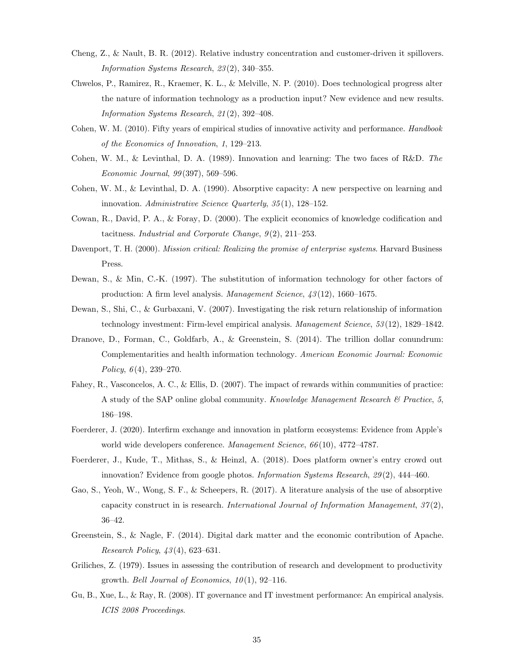- <span id="page-34-3"></span>Cheng, Z., & Nault, B. R. (2012). Relative industry concentration and customer-driven it spillovers. Information Systems Research, 23 (2), 340–355.
- <span id="page-34-13"></span>Chwelos, P., Ramirez, R., Kraemer, K. L., & Melville, N. P. (2010). Does technological progress alter the nature of information technology as a production input? New evidence and new results. Information Systems Research, 21 (2), 392–408.
- <span id="page-34-16"></span>Cohen, W. M. (2010). Fifty years of empirical studies of innovative activity and performance. Handbook of the Economics of Innovation, 1, 129–213.
- <span id="page-34-0"></span>Cohen, W. M., & Levinthal, D. A. (1989). Innovation and learning: The two faces of R&D. The Economic Journal, 99 (397), 569–596.
- <span id="page-34-1"></span>Cohen, W. M., & Levinthal, D. A. (1990). Absorptive capacity: A new perspective on learning and innovation. Administrative Science Quarterly, 35 (1), 128–152.
- <span id="page-34-11"></span>Cowan, R., David, P. A., & Foray, D. (2000). The explicit economics of knowledge codification and tacitness. Industrial and Corporate Change,  $9(2)$ ,  $211-253$ .
- <span id="page-34-9"></span>Davenport, T. H. (2000). Mission critical: Realizing the promise of enterprise systems. Harvard Business Press.
- <span id="page-34-7"></span>Dewan, S., & Min, C.-K. (1997). The substitution of information technology for other factors of production: A firm level analysis. Management Science, 43 (12), 1660–1675.
- <span id="page-34-14"></span>Dewan, S., Shi, C., & Gurbaxani, V. (2007). Investigating the risk return relationship of information technology investment: Firm-level empirical analysis. Management Science, 53 (12), 1829–1842.
- <span id="page-34-2"></span>Dranove, D., Forman, C., Goldfarb, A., & Greenstein, S. (2014). The trillion dollar conundrum: Complementarities and health information technology. American Economic Journal: Economic Policy,  $6(4)$ , 239–270.
- <span id="page-34-12"></span>Fahey, R., Vasconcelos, A. C., & Ellis, D. (2007). The impact of rewards within communities of practice: A study of the SAP online global community. Knowledge Management Research  $\mathcal B$  Practice, 5, 186–198.
- <span id="page-34-6"></span>Foerderer, J. (2020). Interfirm exchange and innovation in platform ecosystems: Evidence from Apple's world wide developers conference. Management Science, 66(10), 4772-4787.
- <span id="page-34-10"></span>Foerderer, J., Kude, T., Mithas, S., & Heinzl, A. (2018). Does platform owner's entry crowd out innovation? Evidence from google photos. Information Systems Research, 29(2), 444–460.
- <span id="page-34-8"></span>Gao, S., Yeoh, W., Wong, S. F., & Scheepers, R. (2017). A literature analysis of the use of absorptive capacity construct in is research. International Journal of Information Management,  $37(2)$ , 36–42.
- <span id="page-34-4"></span>Greenstein, S., & Nagle, F. (2014). Digital dark matter and the economic contribution of Apache. Research Policy, 43 (4), 623–631.
- <span id="page-34-5"></span>Griliches, Z. (1979). Issues in assessing the contribution of research and development to productivity growth. Bell Journal of Economics,  $10(1)$ , 92–116.
- <span id="page-34-15"></span>Gu, B., Xue, L., & Ray, R. (2008). IT governance and IT investment performance: An empirical analysis. ICIS 2008 Proceedings.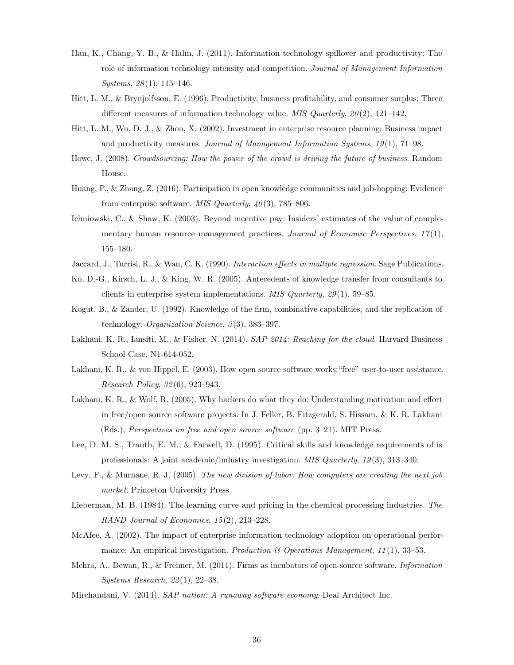- <span id="page-35-1"></span>Han, K., Chang, Y. B., & Hahn, J. (2011). Information technology spillover and productivity: The role of information technology intensity and competition. Journal of Management Information  $Systems, 28(1), 115–146.$
- <span id="page-35-8"></span>Hitt, L. M., & Brynjolfsson, E. (1996). Productivity, business profitability, and consumer surplus: Three different measures of information technology value. MIS Quarterly,  $20(2)$ , 121–142.
- <span id="page-35-7"></span>Hitt, L. M., Wu, D. J., & Zhou, X. (2002). Investment in enterprise resource planning: Business impact and productivity measures. Journal of Management Information Systems, 19 (1), 71–98.
- <span id="page-35-15"></span>Howe, J. (2008). Crowdsourcing: How the power of the crowd is driving the future of business. Random House.
- <span id="page-35-17"></span>Huang, P., & Zhang, Z. (2016). Participation in open knowledge communities and job-hopping: Evidence from enterprise software. MIS Quarterly,  $40(3)$ , 785–806.
- <span id="page-35-16"></span>Ichniowski, C., & Shaw, K. (2003). Beyond incentive pay: Insiders' estimates of the value of complementary human resource management practices. Journal of Economic Perspectives,  $17(1)$ ,  $155\hbox{--}180.$
- <span id="page-35-12"></span>Jaccard, J., Turrisi, R., & Wan, C. K. (1990). Interaction effects in multiple regression. Sage Publications.
- <span id="page-35-0"></span>Ko, D.-G., Kirsch, L. J., & King, W. R. (2005). Antecedents of knowledge transfer from consultants to clients in enterprise system implementations. MIS Quarterly,  $29(1)$ , 59–85.
- <span id="page-35-4"></span>Kogut, B., & Zander, U. (1992). Knowledge of the firm, combinative capabilities, and the replication of technology. *Organization Science*,  $3(3)$ , 383-397.
- <span id="page-35-10"></span>Lakhani, K. R., Iansiti, M., & Fisher, N. (2014). SAP 2014: Reaching for the cloud. Harvard Business School Case, N1-614-052.
- <span id="page-35-3"></span>Lakhani, K. R., & von Hippel, E. (2003). How open source software works:"free" user-to-user assistance. Research Policy, 32 (6), 923–943.
- <span id="page-35-14"></span>Lakhani, K. R., & Wolf, R. (2005). Why hackers do what they do: Understanding motivation and effort in free/open source software projects. In J. Feller, B. Fitzgerald, S. Hissam, & K. R. Lakhani (Eds.), Perspectives on free and open source software (pp. 3–21). MIT Press.
- <span id="page-35-11"></span>Lee, D. M. S., Trauth, E. M., & Farwell, D. (1995). Critical skills and knowledge requirements of is professionals: A joint academic/industry investigation. MIS Quarterly, 19 (3), 313–340.
- <span id="page-35-13"></span>Levy, F., & Murnane, R. J. (2005). The new division of labor: How computers are creating the next job market. Princeton University Press.
- <span id="page-35-2"></span>Lieberman, M. B. (1984). The learning curve and pricing in the chemical processing industries. The RAND Journal of Economics, 15(2), 213-228.
- <span id="page-35-5"></span>McAfee, A. (2002). The impact of enterprise information technology adoption on operational performance: An empirical investigation. Production & Operations Management, 11(1), 33-53.
- <span id="page-35-9"></span>Mehra, A., Dewan, R., & Freimer, M. (2011). Firms as incubators of open-source software. Information Systems Research, 22 (1), 22–38.
- <span id="page-35-6"></span>Mirchandani, V. (2014). SAP nation: A runaway software economy. Deal Architect Inc.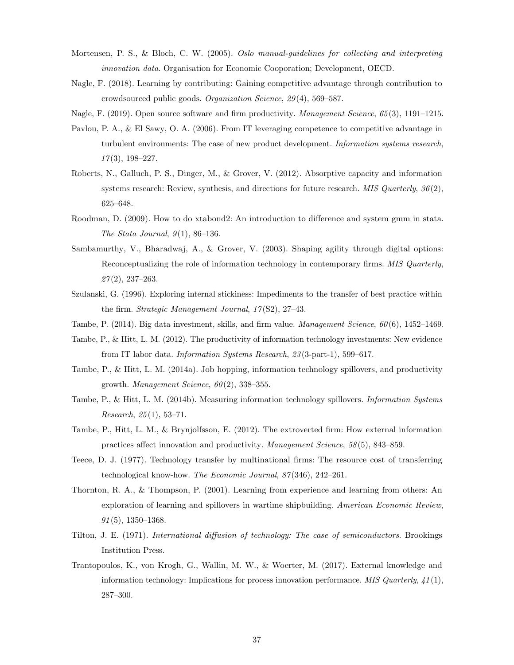- <span id="page-36-16"></span>Mortensen, P. S., & Bloch, C. W. (2005). Oslo manual-guidelines for collecting and interpreting innovation data. Organisation for Economic Cooporation; Development, OECD.
- <span id="page-36-9"></span>Nagle, F. (2018). Learning by contributing: Gaining competitive advantage through contribution to crowdsourced public goods. Organization Science, 29 (4), 569–587.
- <span id="page-36-7"></span>Nagle, F. (2019). Open source software and firm productivity. *Management Science*, 65(3), 1191–1215.
- <span id="page-36-14"></span>Pavlou, P. A., & El Sawy, O. A. (2006). From IT leveraging competence to competitive advantage in turbulent environments: The case of new product development. Information systems research,  $17(3)$ , 198-227.
- <span id="page-36-2"></span>Roberts, N., Galluch, P. S., Dinger, M., & Grover, V. (2012). Absorptive capacity and information systems research: Review, synthesis, and directions for future research. MIS Quarterly,  $36(2)$ , 625–648.
- <span id="page-36-13"></span>Roodman, D. (2009). How to do xtabond2: An introduction to difference and system gmm in stata. The Stata Journal,  $9(1)$ , 86-136.
- <span id="page-36-6"></span>Sambamurthy, V., Bharadwaj, A., & Grover, V. (2003). Shaping agility through digital options: Reconceptualizing the role of information technology in contemporary firms. MIS Quarterly,  $27(2)$ , 237–263.
- <span id="page-36-5"></span>Szulanski, G. (1996). Exploring internal stickiness: Impediments to the transfer of best practice within the firm. Strategic Management Journal, 17(S2), 27-43.
- <span id="page-36-1"></span>Tambe, P. (2014). Big data investment, skills, and firm value. *Management Science, 60(6)*, 1452–1469.
- <span id="page-36-12"></span>Tambe, P., & Hitt, L. M. (2012). The productivity of information technology investments: New evidence from IT labor data. Information Systems Research, 23 (3-part-1), 599–617.
- <span id="page-36-0"></span>Tambe, P., & Hitt, L. M. (2014a). Job hopping, information technology spillovers, and productivity growth. *Management Science*,  $60(2)$ , 338-355.
- <span id="page-36-8"></span>Tambe, P., & Hitt, L. M. (2014b). Measuring information technology spillovers. Information Systems Research,  $25(1)$ , 53-71.
- <span id="page-36-11"></span>Tambe, P., Hitt, L. M., & Brynjolfsson, E. (2012). The extroverted firm: How external information practices affect innovation and productivity. Management Science, 58 (5), 843–859.
- <span id="page-36-10"></span>Teece, D. J. (1977). Technology transfer by multinational firms: The resource cost of transferring technological know-how. The Economic Journal, 87 (346), 242–261.
- <span id="page-36-3"></span>Thornton, R. A., & Thompson, P. (2001). Learning from experience and learning from others: An exploration of learning and spillovers in wartime shipbuilding. American Economic Review,  $91(5)$ , 1350–1368.
- <span id="page-36-4"></span>Tilton, J. E. (1971). International diffusion of technology: The case of semiconductors. Brookings Institution Press.
- <span id="page-36-15"></span>Trantopoulos, K., von Krogh, G., Wallin, M. W., & Woerter, M. (2017). External knowledge and information technology: Implications for process innovation performance. MIS Quarterly,  $41(1)$ , 287–300.